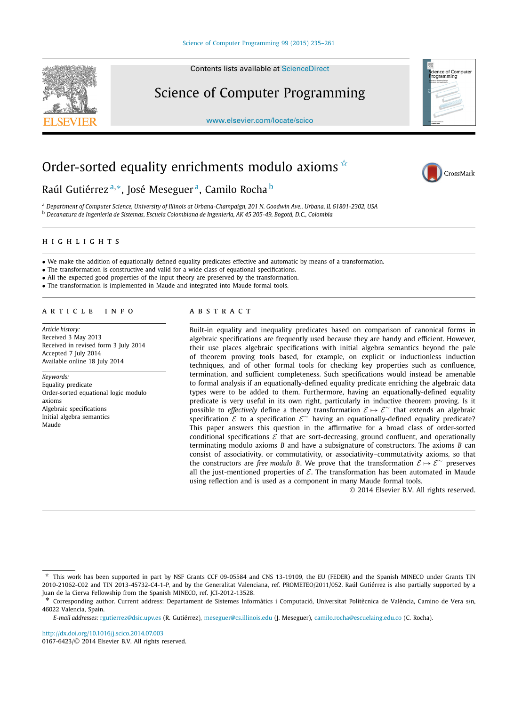Contents lists available at [ScienceDirect](http://www.ScienceDirect.com/)

Science of Computer Programming

[www.elsevier.com/locate/scico](http://www.elsevier.com/locate/scico)

# Order-sorted equality enrichments modulo axioms  $\dot{\mathbf{x}}$

# Raúl Gutiérrez <sup>a</sup>*,*∗, José Meseguer a, Camilo Rocha <sup>b</sup>

a Department of Computer Science, University of Illinois at Urbana-Champaign, 201 N. Goodwin Ave., Urbana, IL 61801-2302, USA <sup>b</sup> *Decanatura de Ingeniería de Sistemas, Escuela Colombiana de Ingeniería, AK 45 205-49, Bogotá, D.C., Colombia*

# h i g h l i g h t s

• We make the addition of equationally defined equality predicates effective and automatic by means of a transformation.

- The transformation is constructive and valid for a wide class of equational specifications.
- All the expected good properties of the input theory are preserved by the transformation.
- The transformation is implemented in Maude and integrated into Maude formal tools.

### A R T I C L E I N F O A B S T R A C T

*Article history:* Received 3 May 2013 Received in revised form 3 July 2014 Accepted 7 July 2014 Available online 18 July 2014

*Keywords:* Equality predicate Order-sorted equational logic modulo axioms Algebraic specifications Initial algebra semantics Maude

Built-in equality and inequality predicates based on comparison of canonical forms in algebraic specifications are frequently used because they are handy and efficient. However, their use places algebraic specifications with initial algebra semantics beyond the pale of theorem proving tools based, for example, on explicit or inductionless induction techniques, and of other formal tools for checking key properties such as confluence, termination, and sufficient completeness. Such specifications would instead be amenable to formal analysis if an equationally-defined equality predicate enriching the algebraic data types were to be added to them. Furthermore, having an equationally-defined equality predicate is very useful in its own right, particularly in inductive theorem proving. Is it possible to *effectively* define a theory transformation  $E \mapsto E^{\sim}$  that extends an algebraic specification  $\mathcal E$  to a specification  $\mathcal E^{\sim}$  having an equationally-defined equality predicate? This paper answers this question in the affirmative for a broad class of order-sorted conditional specifications  $\mathcal E$  that are sort-decreasing, ground confluent, and operationally terminating modulo axioms *B* and have a subsignature of constructors. The axioms *B* can consist of associativity, or commutativity, or associativity–commutativity axioms, so that the constructors are *free modulo B*. We prove that the transformation  $\mathcal{E} \mapsto \mathcal{E}^{\sim}$  preserves all the just-mentioned properties of  $\mathcal E$ . The transformation has been automated in Maude using reflection and is used as a component in many Maude formal tools.

© 2014 Elsevier B.V. All rights reserved.

 $*$  This work has been supported in part by NSF Grants CCF 09-05584 and CNS 13-19109, the EU (FEDER) and the Spanish MINECO under Grants TIN 2010-21062-C02 and TIN 2013-45732-C4-1-P, and by the Generalitat Valenciana, ref. PROMETEO/2011/052. Raúl Gutiérrez is also partially supported by a Juan de la Cierva Fellowship from the Spanish MINECO, ref. JCI-2012-13528.

<http://dx.doi.org/10.1016/j.scico.2014.07.003>

0167-6423/© 2014 Elsevier B.V. All rights reserved.







Corresponding author. Current address: Departament de Sistemes Informàtics i Computació, Universitat Politècnica de València, Camino de Vera s/n, 46022 Valencia, Spain.

*E-mail addresses:* [rgutierrez@dsic.upv.es](mailto:rgutierrez@dsic.upv.es) (R. Gutiérrez), [meseguer@cs.illinois.edu](mailto:meseguer@cs.illinois.edu) (J. Meseguer), [camilo.rocha@escuelaing.edu.co](mailto:camilo.rocha@escuelaing.edu.co) (C. Rocha).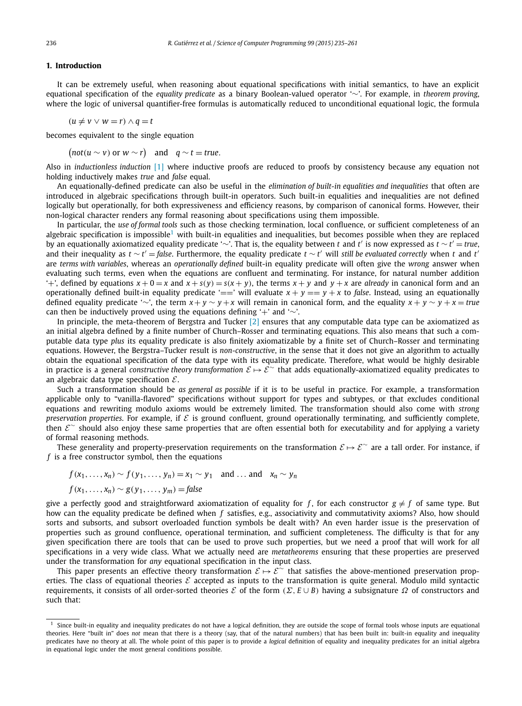# **1. Introduction**

It can be extremely useful, when reasoning about equational specifications with initial semantics, to have an explicit equational specification of the *equality predicate* as a binary Boolean-valued operator '∼'. For example, in *theorem proving*, where the logic of universal quantifier-free formulas is automatically reduced to unconditional equational logic, the formula

 $(u \neq v \vee w = r) \wedge q = t$ 

becomes equivalent to the single equation

 $($ *not* $(u \sim v)$  or  $w \sim r$  $)$  and  $q \sim t = true$ .

Also in *inductionless induction* [\[1\]](#page-25-0) where inductive proofs are reduced to proofs by consistency because any equation not holding inductively makes *true* and *false* equal.

An equationally-defined predicate can also be useful in the *elimination of built-in equalities and inequalities* that often are introduced in algebraic specifications through built-in operators. Such built-in equalities and inequalities are not defined logically but operationally, for both expressiveness and efficiency reasons, by comparison of canonical forms. However, their non-logical character renders any formal reasoning about specifications using them impossible.

In particular, the *use of formal tools* such as those checking termination, local confluence, or sufficient completeness of an algebraic specification is impossible<sup>1</sup> with built-in equalities and inequalities, but becomes possible when they are replaced by an equationally axiomatized equality predicate '∼'. That is, the equality between *t* and *t* is now expressed as *t* ∼ *t* = *true*, and their inequality as  $t \sim t'$  = *false*. Furthermore, the equality predicate  $t \sim t'$  will *still be evaluated correctly* when *t* and  $t'$ are *terms with variables*, whereas an *operationally defined* built-in equality predicate will often give the *wrong* answer when evaluating such terms, even when the equations are confluent and terminating. For instance, for natural number addition '+', defined by equations  $x + 0 = x$  and  $x + s(y) = s(x + y)$ , the terms  $x + y$  and  $y + x$  are already in canonical form and an operationally defined built-in equality predicate '==' will evaluate  $x + y = y + x$  to *false*. Instead, using an equationally defined equality predicate '∼', the term *x*+ *y* ∼ *y* +*x* will remain in canonical form, and the equality *x* + *y* ∼ *y* + *x* = *true* can then be inductively proved using the equations defining '+' and '∼'.

In principle, the meta-theorem of Bergstra and Tucker [\[2\]](#page-25-0) ensures that any computable data type can be axiomatized as an initial algebra defined by a finite number of Church–Rosser and terminating equations. This also means that such a computable data type *plus* its equality predicate is also finitely axiomatizable by a finite set of Church–Rosser and terminating equations. However, the Bergstra–Tucker result is *non-constructive*, in the sense that it does not give an algorithm to actually obtain the equational specification of the data type with its equality predicate. Therefore, what would be highly desirable in practice is <sup>a</sup> general *constructive theory transformation* <sup>E</sup> → <sup>E</sup><sup>∼</sup> that adds equationally-axiomatized equality predicates to an algebraic data type specification  $\mathcal{E}$ .

Such a transformation should be *as general as possible* if it is to be useful in practice. For example, a transformation applicable only to "vanilla-flavored" specifications without support for types and subtypes, or that excludes conditional equations and rewriting modulo axioms would be extremely limited. The transformation should also come with *strong preservation properties*. For example, if  $\mathcal E$  is ground confluent, ground operationally terminating, and sufficiently complete, then  $\mathcal{E}^{\sim}$  should also enjoy these same properties that are often essential both for executability and for applying a variety of formal reasoning methods.

These generality and property-preservation requirements on the transformation  $\mathcal{E} \mapsto \mathcal{E}^{\sim}$  are a tall order. For instance, if *f* is a free constructor symbol, then the equations

$$
f(x_1, \ldots, x_n) \sim f(y_1, \ldots, y_n) = x_1 \sim y_1 \quad \text{and} \quad \ldots \text{ and } \quad x_n \sim y_n
$$
  

$$
f(x_1, \ldots, x_n) \sim g(y_1, \ldots, y_m) = \text{false}
$$

give a perfectly good and straightforward axiomatization of equality for *f*, for each constructor  $g \neq f$  of same type. But how can the equality predicate be defined when *f* satisfies, e.g., associativity and commutativity axioms? Also, how should sorts and subsorts, and subsort overloaded function symbols be dealt with? An even harder issue is the preservation of properties such as ground confluence, operational termination, and sufficient completeness. The difficulty is that for any given specification there are tools that can be used to prove such properties, but we need a proof that will work for *all* specifications in a very wide class. What we actually need are *metatheorems* ensuring that these properties are preserved under the transformation for *any* equational specification in the input class.

This paper presents an effective theory transformation  $\mathcal{E} \mapsto \mathcal{E}^{\sim}$  that satisfies the above-mentioned preservation properties. The class of equational theories  $\mathcal E$  accepted as inputs to the transformation is quite general. Modulo mild syntactic requirements, it consists of all order-sorted theories  $\mathcal E$  of the form  $(\Sigma, E \cup B)$  having a subsignature  $\Omega$  of constructors and such that:

 $<sup>1</sup>$  Since built-in equality and inequality predicates do not have a logical definition, they are outside the scope of formal tools whose inputs are equational</sup> theories. Here "built in" does *not* mean that there is a theory (say, that of the natural numbers) that has been built in: built-in equality and inequality predicates have no theory at all. The whole point of this paper is to provide a *logical* definition of equality and inequality predicates for an initial algebra in equational logic under the most general conditions possible.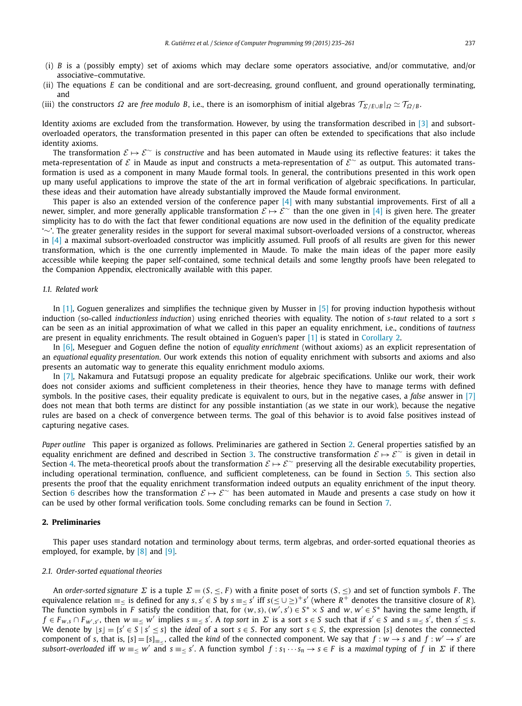- <span id="page-2-0"></span>(i) *B* is a (possibly empty) set of axioms which may declare some operators associative, and/or commutative, and/or associative–commutative.
- (ii) The equations *E* can be conditional and are sort-decreasing, ground confluent, and ground operationally terminating, and
- (iii) the constructors  $\Omega$  are *free modulo B*, i.e., there is an isomorphism of initial algebras  $\mathcal{T}_{\Sigma/E\cup B}|_{\Omega} \simeq \mathcal{T}_{\Omega/B}$ .

Identity axioms are excluded from the transformation. However, by using the transformation described in [\[3\]](#page-25-0) and subsortoverloaded operators, the transformation presented in this paper can often be extended to specifications that also include identity axioms.

The transformation <sup>E</sup> → <sup>E</sup><sup>∼</sup> is *constructive* and has been automated in Maude using its reflective features: it takes the meta-representation of E in Maude as input and constructs a meta-representation of  $\mathcal{E}^{\sim}$  as output. This automated transformation is used as a component in many Maude formal tools. In general, the contributions presented in this work open up many useful applications to improve the state of the art in formal verification of algebraic specifications. In particular, these ideas and their automation have already substantially improved the Maude formal environment.

This paper is also an extended version of the conference paper [\[4\]](#page-25-0) with many substantial improvements. First of all a newer, simpler, and more generally applicable transformation  $\mathcal{E} \mapsto \mathcal{E}^{\sim}$  than the one given in [\[4\]](#page-25-0) is given here. The greater simplicity has to do with the fact that fewer conditional equations are now used in the definition of the equality predicate '∼'. The greater generality resides in the support for several maximal subsort-overloaded versions of a constructor, whereas in [\[4\]](#page-25-0) a maximal subsort-overloaded constructor was implicitly assumed. Full proofs of all results are given for this newer transformation, which is the one currently implemented in Maude. To make the main ideas of the paper more easily accessible while keeping the paper self-contained, some technical details and some lengthy proofs have been relegated to the Companion Appendix, electronically available with this paper.

# *1.1. Related work*

In [\[1\],](#page-25-0) Goguen generalizes and simplifies the technique given by Musser in [\[5\]](#page-25-0) for proving induction hypothesis without induction (so-called *inductionless induction*) using enriched theories with equality. The notion of *s-taut* related to a sort *s* can be seen as an initial approximation of what we called in this paper an equality enrichment, i.e., conditions of *tautness* are present in equality enrichments. The result obtained in Goguen's paper [\[1\]](#page-25-0) is stated in [Corollary 2.](#page-5-0)

In [\[6\],](#page-25-0) Meseguer and Goguen define the notion of *equality enrichment* (without axioms) as an explicit representation of an *equational equality presentation*. Our work extends this notion of equality enrichment with subsorts and axioms and also presents an automatic way to generate this equality enrichment modulo axioms.

In [\[7\],](#page-25-0) Nakamura and Futatsugi propose an equality predicate for algebraic specifications. Unlike our work, their work does not consider axioms and sufficient completeness in their theories, hence they have to manage terms with defined symbols. In the positive cases, their equality predicate is equivalent to ours, but in the negative cases, a *false* answer in [\[7\]](#page-25-0) does not mean that both terms are distinct for any possible instantiation (as we state in our work), because the negative rules are based on a check of convergence between terms. The goal of this behavior is to avoid false positives instead of capturing negative cases.

*Paper outline* This paper is organized as follows. Preliminaries are gathered in Section 2. General properties satisfied by an equality enrichment are defined and described in Section [3.](#page-4-0) The constructive transformation  $\mathcal{E} \mapsto \mathcal{E}^{\sim}$  is given in detail in Section [4.](#page-6-0) The meta-theoretical proofs about the transformation  $\mathcal{E} \mapsto \mathcal{E}^{\sim}$  preserving all the desirable executability properties, including operational termination, confluence, and sufficient completeness, can be found in Section [5.](#page-14-0) This section also presents the proof that the equality enrichment transformation indeed outputs an equality enrichment of the input theory. Section [6](#page-23-0) describes how the transformation  $\mathcal{E} \mapsto \mathcal{E}^{\sim}$  has been automated in Maude and presents a case study on how it can be used by other formal verification tools. Some concluding remarks can be found in Section [7.](#page-25-0)

# **2. Preliminaries**

This paper uses standard notation and terminology about terms, term algebras, and order-sorted equational theories as employed, for example, by  $[8]$  and  $[9]$ .

# *2.1. Order-sorted equational theories*

An order-sorted signature  $\Sigma$  is a tuple  $\Sigma = (S, \leq, F)$  with a finite poset of sorts  $(S, \leq)$  and set of function symbols F. The equivalence relation  $\equiv_{\leq}$  is defined for any  $s, s' \in S$  by  $s \equiv_{\leq} s'$  iff  $s(\leq \cup \geq)^+ s'$  (where  $R^+$  denotes the transitive closure of *R*). The function symbols in F satisfy the condition that, for  $(w, s)$ ,  $(w', s') \in S^* \times S$  and  $w, w' \in S^*$  having the same length, if  $f \in F_{w,s} \cap F_{w',s'}$ , then  $w \equiv_{\leq} w'$  implies  $s \equiv_{\leq} s'$ . A top sort in  $\Sigma$  is a sort  $s \in S$  such that if  $s' \in S$  and  $s \equiv_{\leq} s'$ , then  $s' \leq s$ . We denote by  $|s| = \{s' \in S \mid s' \le s\}$  the *ideal* of a sort  $s \in S$ . For any sort  $s \in S$ , the expression [*s*] denotes the connected component of *s*, that is,  $[s] = [s]_{\equiv  $\infty}$ , called the *kind* of the connected component. We say that  $f : w \rightarrow s$  and  $f : w' \rightarrow s'$  are$  $s$ ubsort-overloaded iff  $w \equiv_{\leq} w'$  and  $s \equiv_{\leq} s'$ . A function symbol  $f : s_1 \cdots s_n \to s \in F$  is a *maximal typing* of  $f$  in  $\Sigma$  if there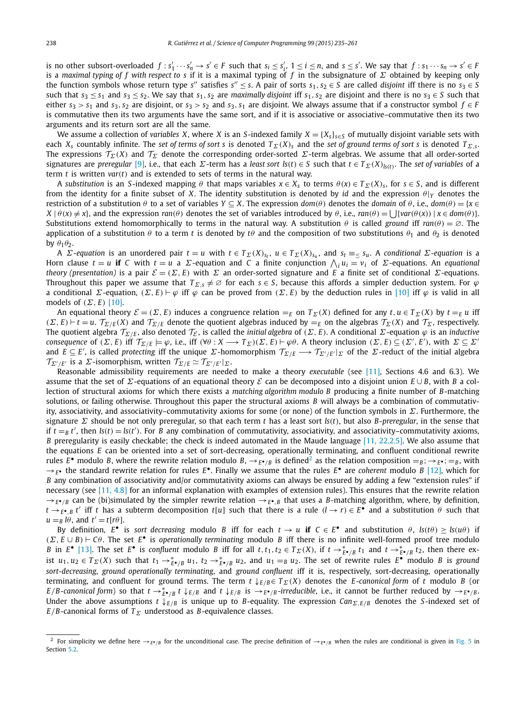is no other subsort-overloaded  $f: s'_1 \cdots s'_n \to s' \in F$  such that  $s_i \le s'_i$ ,  $1 \le i \le n$ , and  $s \le s'$ . We say that  $f: s_1 \cdots s_n \to s' \in F$ is a *maximal typing of f with respect to s* if it is a maximal typing of *f* in the subsignature of *Σ* obtained by keeping only the function symbols whose return type *s*<sup>*''*</sup> satisfies *s*<sup>*''*</sup> ≤ *s*. A pair of sorts *s*<sub>1</sub>, *s*<sub>2</sub> ∈ *S* are called *disjoint* iff there is no *s*<sub>3</sub> ∈ *S* such that  $s_3 \le s_1$  and  $s_3 \le s_2$ . We say that  $s_1, s_2$  are maximally disjoint iff  $s_1, s_2$  are disjoint and there is no  $s_3 \in S$  such that either  $s_3 > s_1$  and  $s_3$ ,  $s_2$  are disjoint, or  $s_3 > s_2$  and  $s_3$ ,  $s_1$  are disjoint. We always assume that if a constructor symbol  $f \in F$ is commutative then its two arguments have the same sort, and if it is associative or associative–commutative then its two arguments and its return sort are all the same.

We assume a collection of *variables X*, where *X* is an *S*-indexed family  $X = \{X_s\}_{s \in S}$  of mutually disjoint variable sets with each  $X_s$  countably infinite. The set of terms of sort s is denoted  $T_\Sigma(X)_s$  and the set of ground terms of sort s is denoted  $T_{\Sigma,s}$ . The expressions  $\mathcal{T}_{\Sigma}(X)$  and  $\mathcal{T}_{\Sigma}$  denote the corresponding order-sorted *Σ*-term algebras. We assume that all order-sorted signatures are preregular [\[9\],](#page-25-0) i.e., that each  $\Sigma$ -term has a least sort  $ls(t) \in S$  such that  $t \in T_{\Sigma}(X)_{ls(t)}$ . The set of variables of a term  $t$  is written  $var(t)$  and is extended to sets of terms in the natural way.

A substitution is an S-indexed mapping  $\theta$  that maps variables  $x \in X_s$  to terms  $\theta(x) \in T_{\Sigma}(X_s)$ , for  $s \in S$ , and is different from the identity for a finite subset of *X*. The identity substitution is denoted by *id* and the expression *θ*|*<sup>Y</sup>* denotes the restriction of a substitution *θ* to a set of variables *Y* ⊆ *X*. The expression *dom(θ)* denotes the *domain* of *θ* , i.e., *dom(θ)* = {*x* ∈  $X | \theta(x) \neq x$ , and the expression ran( $\theta$ ) denotes the set of variables introduced by  $\theta$ , i.e., ran( $\theta$ ) = | |{var( $\theta(x)$ ) |  $x \in dom(\theta)$ }. Substitutions extend homomorphically to terms in the natural way. A substitution *θ* is called *ground* iff *ran(θ)* = ∅. The application of a substitution  $\theta$  to a term *t* is denoted by  $t\theta$  and the composition of two substitutions  $\theta_1$  and  $\theta_2$  is denoted by  $\theta_1 \theta_2$ .

A  $\Sigma$ -equation is an unordered pair  $t = u$  with  $t \in T_{\Sigma}(X)_{s_t}$ ,  $u \in T_{\Sigma}(X)_{s_u}$ , and  $s_t \equiv \{s_u, s_u\}$  and  $t_s$ -equation is a Horn clause  $t = u$  if *C* with  $t = u$  a  $\Sigma$ -equation and *C* a finite conjunction  $\bigwedge_i u_i = v_i$  of  $\Sigma$ -equations. An *equational theory* (presentation) is a pair  $\mathcal{E} = (\Sigma, E)$  with  $\Sigma$  an order-sorted signature and E a finite set of conditional  $\Sigma$ -equations. Throughout this paper we assume that  $T_{\Sigma,s} \neq \emptyset$  for each  $s \in S$ , because this affords a simpler deduction system. For  $\varphi$ a conditional *Σ*-equation,  $(Σ, E)$   $\vdash φ$  iff  $φ$  can be proved from  $(Σ, E)$  by the deduction rules in [\[10\]](#page-25-0) iff  $φ$  is valid in all models of  $(\Sigma, E)$  [\[10\].](#page-25-0)

An equational theory  $\mathcal{E} = (\Sigma, E)$  induces a congruence relation  $=_E$  on  $T_{\Sigma}(X)$  defined for any  $t, u \in T_{\Sigma}(X)$  by  $t =_E u$  iff  $(\Sigma, E) \vdash t = u$ .  $\mathcal{T}_{\Sigma/E}(X)$  and  $\mathcal{T}_{\Sigma/E}$  denote the quotient algebras induced by  $=_E$  on the algebras  $\mathcal{T}_{\Sigma}(X)$  and  $\mathcal{T}_{\Sigma}$ , respectively. The quotient algebra  $\mathcal{T}_{\Sigma/E}$ , also denoted  $\mathcal{T}_{\mathcal{E}}$ , is called the *initial algebra* of (*Σ*, *E*). A conditional *Σ*-equation  $\varphi$  is an *inductive* consequence of  $(\Sigma, E)$  iff  $\mathcal{T}_{\Sigma/E} \models \varphi$ , i.e., iff  $(\forall \theta : X \longrightarrow T_{\Sigma})(\Sigma, E) \vdash \varphi \theta$ . A theory inclusion  $(\Sigma, E) \subseteq (\Sigma', E')$ , with  $\Sigma \subseteq \Sigma'$ and  $E \subseteq E'$ , is called *protecting* iff the unique  $\Sigma$ -homomorphism  $\mathcal{T}_{\Sigma/E} \longrightarrow \mathcal{T}_{\Sigma'/E'}|_{\Sigma}$  of the  $\Sigma$ -reduct of the initial algebra  $\mathcal{T}_{\Sigma'/E'}$  is a *Σ*-isomorphism, written  $\mathcal{T}_{\Sigma/E} \simeq \mathcal{T}_{\Sigma'/E'}|_{\Sigma}$ .

Reasonable admissibility requirements are needed to make a theory *executable* (see [\[11\],](#page-25-0) Sections 4.6 and 6.3). We assume that the set of *Σ*-equations of an equational theory *E* can be decomposed into a disjoint union  $E \cup B$ , with *B* a collection of structural axioms for which there exists a *matching algorithm modulo B* producing a finite number of *B*-matching solutions, or failing otherwise. Throughout this paper the structural axioms *B* will always be a combination of commutativity, associativity, and associativity–commutativity axioms for some (or none) of the function symbols in *Σ*. Furthermore, the signature *Σ* should be not only preregular, so that each term *t* has a least sort *ls(t)*, but also *B*-*preregular*, in the sense that if  $t = B t'$ , then  $ls(t) = ls(t')$ . For *B* any combination of commutativity, associativity, and associativity–commutativity axioms, *B* preregularity is easily checkable; the check is indeed automated in the Maude language [11, [22.2.5\].](#page-25-0) We also assume that the equations *E* can be oriented into a set of sort-decreasing, operationally terminating, and confluent conditional rewrite rules *E*• modulo *B*, where the rewrite relation modulo *B*,  $\rightarrow$  *E*•*/B* is defined<sup>2</sup> as the relation composition =  $_B$ ;  $\rightarrow$   $_E$ •; =  $_B$ , with  $\rightarrow$ <sub>E</sub>• the standard rewrite relation for rules  $E^{\bullet}$ . Finally we assume that the rules  $E^{\bullet}$  are *coherent* modulo *B* [\[12\],](#page-25-0) which for *B* any combination of associativity and/or commutativity axioms can always be ensured by adding a few "extension rules" if necessary (see [11, [4.8\]](#page-25-0) for an informal explanation with examples of extension rules). This ensures that the rewrite relation  $\rightarrow$ *E*•*/B* can be (bi)simulated by the simpler rewrite relation  $\rightarrow$ *E*•*,B* that uses a *B*-matching algorithm, where, by definition,  $t \rightarrow e \cdot B$  *t* iff *t* has a subterm decomposition *t*[*u*] such that there is a rule  $(l \rightarrow r) \in E^{\bullet}$  and a substitution  $\theta$  such that  $u = B \theta$ , and  $t' = t[r\theta]$ .

By definition,  $E^{\bullet}$  is sort decreasing modulo B iff for each  $t \to u$  if  $C \in E^{\bullet}$  and substitution  $\theta$ ,  $s(t\theta) > s(u\theta)$  if *(Σ, E* ∪ *B) Cθ* . The set *E*• is *operationally terminating* modulo *B* iff there is no infinite well-formed proof tree modulo B in  $E^{\bullet}$  [\[13\].](#page-25-0) The set  $E^{\bullet}$  is confluent modulo B iff for all  $t, t_1, t_2 \in T_{\Sigma}(X)$ , if  $t \to_{E^{\bullet}/B}^* t_1$  and  $t \to_{E^{\bullet}/B}^* t_2$ , then there exist  $u_1, u_2 \in T_{\Sigma}(X)$  such that  $t_1 \to_{E^{\bullet}/B}^* u_1$ ,  $t_2 \to_{E^{\bullet}/B}^* u_2$ , and  $u_1 =_B u_2$ . The set of rewrite rules  $E^{\bullet}$  modulo B is ground *sort-decreasing*, *ground operationally terminating*, and *ground confluent* iff it is, respectively, sort-decreasing, operationally terminating, and confluent for ground terms. The term  $t \downarrow_{E/B} \in T_{\Sigma}(X)$  denotes the *E*-*canonical form* of *t* modulo *B* (or E/B-canonical form) so that  $t\to_{E^{\bullet}/B}^* t\downarrow_{E/B}$  and  $t\downarrow_{E/B}$  is  $\to_{E^{\bullet}/B}$ -irreducible, i.e., it cannot be further reduced by  $\to_{E^{\bullet}/B}$ . Under the above assumptions  $t \downarrow_{E/B}$  is unique up to *B*-equality. The expression  $Can_{\Sigma,E/B}$  denotes the *S*-indexed set of *E/B*-canonical forms of  $T<sub>Σ</sub>$  understood as *B*-equivalence classes.

<sup>&</sup>lt;sup>2</sup> For simplicity we define here →*E*•*/B* for the unconditional case. The precise definition of  $\rightarrow$ *E*•*/B* when the rules are conditional is given in [Fig. 5](#page-15-0) in Section [5.2.](#page-14-0)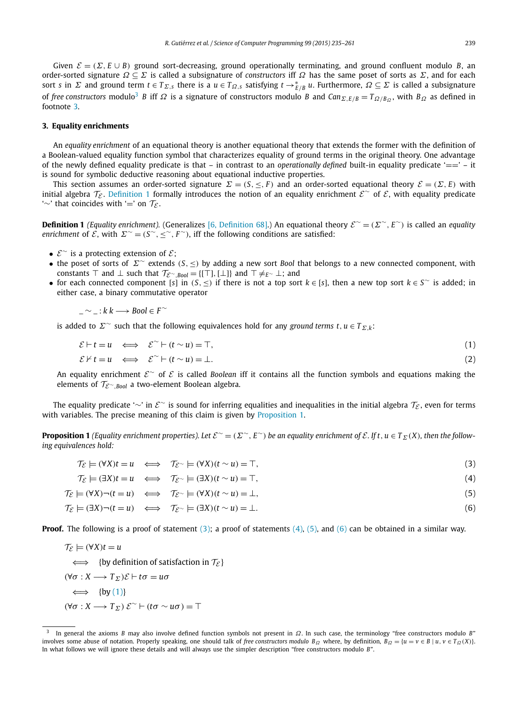<span id="page-4-0"></span>Given  $\mathcal{E} = (\Sigma, E \cup B)$  ground sort-decreasing, ground operationally terminating, and ground confluent modulo *B*, an order-sorted signature *Ω* ⊆ *Σ* is called a subsignature of *constructors* iff *Ω* has the same poset of sorts as *Σ*, and for each sort s in  $\Sigma$  and ground term  $t\in T_{\Sigma,s}$  there is a  $u\in T_{\Omega,s}$  satisfying  $t\to_{E/B}^* u$ . Furthermore,  $\Omega\subseteq\Sigma$  is called a subsignature of free constructors modulo<sup>3</sup> B iff  $\Omega$  is a signature of constructors modulo B and Can<sub> $\Sigma$ , E/B</sub> =  $T_{\Omega/BQ}$ , with B<sub> $\Omega$ </sub> as defined in footnote 3.

# **3. Equality enrichments**

An *equality enrichment* of an equational theory is another equational theory that extends the former with the definition of a Boolean-valued equality function symbol that characterizes equality of ground terms in the original theory. One advantage of the newly defined equality predicate is that – in contrast to an *operationally defined* built-in equality predicate '==' – it is sound for symbolic deductive reasoning about equational inductive properties.

This section assumes an order-sorted signature  $\Sigma = (S, \leq, F)$  and an order-sorted equational theory  $\mathcal{E} = (\Sigma, E)$  with initial algebra  $\mathcal{T}_{\mathcal{E}}$ . Definition 1 formally introduces the notion of an equality enrichment  $\mathcal{E}^{\sim}$  of  $\mathcal{E}$ , with equality predicate '∼' that coincides with '=' on  $\mathcal{T}_{\mathcal{E}}$ .

**Definition 1** *(Equality enrichment).* (Generalizes [6, [Definition 68\].](#page-25-0)) An equational theory  $\mathcal{E}^{\sim} = (\Sigma^{\sim}, E^{\sim})$  is called an *equality enrichment* of *E*, with  $\Sigma^{\sim} = (S^{\sim}, \le^{\sim}, F^{\sim})$ , iff the following conditions are satisfied:

- $\mathcal{E}^{\sim}$  is a protecting extension of  $\mathcal{E}$ ;
- the poset of sorts of *Σ*<sup>∼</sup> extends *(S,*≤*)* by adding a new sort *Bool* that belongs to a new connected component, with constants  $\top$  and  $\bot$  such that  $\mathcal{T}_{\mathcal{E}^\sim, \text{Bool}} = \{ [\top], [\bot] \}$  and  $\top \neq_{E^\sim} \bot$ ; and
- for each connected component [s] in  $(S, \leq)$  if there is not a top sort  $k \in [s]$ , then a new top sort  $k \in S^{\sim}$  is added; in either case, a binary commutative operator

$$
\_\sim\_\colon k\,k\longrightarrow \text{Bool}\in F^\sim
$$

is added to  $\Sigma^{\sim}$  such that the following equivalences hold for any *ground terms t*,  $u \in T_{\Sigma,k}$ :

$$
\mathcal{E} \vdash t = u \iff \mathcal{E}^{\sim} \vdash (t \sim u) = \top,
$$
\n<sup>(1)</sup>

$$
\mathcal{E} \not\vdash t = u \iff \mathcal{E}^{\sim} \vdash (t \sim u) = \bot. \tag{2}
$$

An equality enrichment <sup>E</sup><sup>∼</sup> of <sup>E</sup> is called *Boolean* iff it contains all the function symbols and equations making the elements of  $\mathcal{T}_{\mathcal{E}^{\sim}$  *Bool* a two-element Boolean algebra.

The equality predicate '∼' in  $\mathcal{E}^{\sim}$  is sound for inferring equalities and inequalities in the initial algebra  $\mathcal{T}_{\mathcal{E}}$ , even for terms with variables. The precise meaning of this claim is given by Proposition 1.

**Proposition 1** (Equality enrichment properties). Let  $\mathcal{E}^{\sim} = (\Sigma^{\sim}, E^{\sim})$  be an equality enrichment of  $\mathcal{E}$ . If t,  $u \in T_{\Sigma}(X)$ , then the follow*ing equivalences hold:*

$$
\mathcal{T}_{\mathcal{E}} \models (\forall X)t = u \iff \mathcal{T}_{\mathcal{E}^{\sim}} \models (\forall X)(t \sim u) = \top,
$$
\n(3)

$$
\mathcal{T}_{\mathcal{E}} \models (\exists X)t = u \iff \mathcal{T}_{\mathcal{E}} \sim \models (\exists X)(t \sim u) = \top,
$$
\n(4)

$$
\mathcal{T}_{\mathcal{E}} \models (\forall X) \neg (t = u) \iff \mathcal{T}_{\mathcal{E}^{\sim}} \models (\forall X)(t \sim u) = \bot,
$$
\n
$$
(5)
$$

$$
\mathcal{T}_{\mathcal{E}} \models (\exists X) \neg (t = u) \iff \mathcal{T}_{\mathcal{E}^{\sim}} \models (\exists X)(t \sim u) = \bot. \tag{6}
$$

**Proof.** The following is a proof of statement (3); a proof of statements (4), (5), and (6) can be obtained in a similar way.

 $\mathcal{T}_{\mathcal{E}} \models (\forall X) t = u$  $\iff$  {by definition of satisfaction in  $\mathcal{T}_{\mathcal{E}}$ }  $(∀σ : X → T<sub>Σ</sub>)$  $E$   $+$   $tσ = uσ$  $\iff$  {by (1)}  $(∀σ : X → T<sub>Σ</sub>)$   $\mathcal{E}^{\sim}$   $\vdash$   $(tσ ∼ uσ) = T$ 

<sup>3</sup> In general the axioms *B* may also involve defined function symbols not present in *Ω*. In such case, the terminology "free constructors modulo *B*" involves some abuse of notation. Properly speaking, one should talk of free constructors modulo  $B_{\Omega}$  where, by definition,  $B_{\Omega} = \{u = v \in B \mid u, v \in T_{\Omega}(X)\}\$ . In what follows we will ignore these details and will always use the simpler description "free constructors modulo *B*".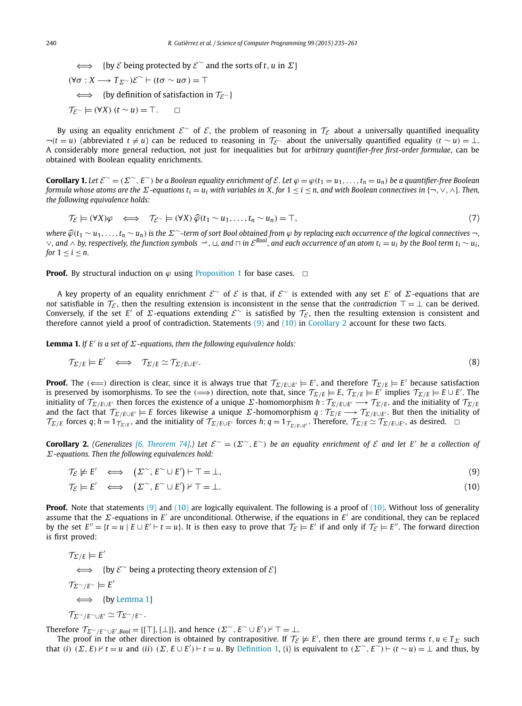<span id="page-5-0"></span>⇐⇒ {by <sup>E</sup> being protected by <sup>E</sup><sup>∼</sup> and the sorts of *<sup>t</sup>, <sup>u</sup>* in *<sup>Σ</sup>*}  $(Vσ: X \rightarrow T_{Σ}~)$  $\mathcal{E}^{\sim}$   $\vdash$   $(tσ \sim uσ) = T$ ⇐⇒ {by definition of satisfaction in <sup>T</sup>E<sup>∼</sup> }  $\mathcal{T}_{\mathcal{F}^{\sim}} \models (\forall X) (t \sim u) = \top.$ 

By using an equality enrichment  $\mathcal{E}^{\sim}$  of  $\mathcal{E}$ , the problem of reasoning in  $\mathcal{T}_{\mathcal{E}}$  about a universally quantified inequality  $\neg(t = u)$  (abbreviated  $t \neq u$ ) can be reduced to reasoning in  $\mathcal{T}_{\mathcal{E}}$  about the universally quantified equality  $(t \sim u) = \perp$ . A considerably more general reduction, not just for inequalities but for *arbitrary quantifier-free first-order formulae*, can be obtained with Boolean equality enrichments.

**Corollary 1.** Let  $\mathcal{E}^{\sim} = (\mathcal{E}^{\sim}, E^{\sim})$  be a Boolean equality enrichment of  $\mathcal{E}$ . Let  $\varphi = \varphi(t_1 = u_1, \ldots, t_n = u_n)$  be a quantifier-free Boolean formula whose atoms are the  $\Sigma$ -equations  $t_i = u_i$  with variables in X, for  $1 \le i \le n$ , and with Boolean connectives in  $\{\neg, \vee, \wedge\}$ . Then, *the following equivalence holds:*

$$
\mathcal{T}_{\mathcal{E}} \models (\forall X)\varphi \iff \mathcal{T}_{\mathcal{E}^{\sim}} \models (\forall X)\ \widehat{\varphi}(t_1 \sim u_1, \dots, t_n \sim u_n) = \top,
$$
\n<sup>(7)</sup>

where  $\widehat{\varphi}(t_1 \sim u_1, \ldots, t_n \sim u_n)$  is the  $\Sigma^{\sim}$ -term of sort Bool obtained from  $\varphi$  by replacing each occurrence of the logical connectives  $\neg$ ,  $\vee$ , and  $\wedge$  by, respectively, the function symbols  $\overline{\phantom{a}}$ ,  $\Box$ , and  $\Box$  in  $\mathcal{E}^{Bool}$ , and each occurrence of an atom  $t_i = u_i$  by the Bool term  $t_i \sim u_i$ , *for*  $1 \leq i \leq n$ *.* 

**Proof.** By structural induction on  $\varphi$  using [Proposition 1](#page-4-0) for base cases.  $\Box$ 

<sup>A</sup> key property of an equality enrichment <sup>E</sup><sup>∼</sup> of <sup>E</sup> is that, if <sup>E</sup><sup>∼</sup> is extended with any set *<sup>E</sup>* of *<sup>Σ</sup>*-equations that are *not* satisfiable in  $\mathcal{T}_{\mathcal{E}}$ , then the resulting extension is inconsistent in the sense that the *contradiction*  $\top = \bot$  can be derived. Conversely, if the set *E'* of *Σ*-equations extending  $\mathcal{E}^{\sim}$  is satisfied by  $\mathcal{T}_{\mathcal{E}}$ , then the resulting extension is consistent and therefore cannot yield a proof of contradiction. Statements (9) and (10) in Corollary 2 account for these two facts.

**Lemma 1.** *If E is a set of Σ-equations, then the following equivalence holds:*

$$
\mathcal{T}_{\Sigma/E} \models E' \iff \mathcal{T}_{\Sigma/E} \simeq \mathcal{T}_{\Sigma/E \cup E'}.\tag{8}
$$

**Proof.** The  $(\Leftarrow)$  direction is clear, since it is always true that  $\mathcal{T}_{\Sigma/E \cup E'} \models E'$ , and therefore  $\mathcal{T}_{\Sigma/E} \models E'$  because satisfaction is preserved by isomorphisms. To see the  $(\implies)$  direction, note that, since  $\mathcal{T}_{\Sigma/E} \models E$ ,  $\mathcal{T}_{\Sigma/E} \models E'$  implies  $\mathcal{T}_{\Sigma/E} \models E \cup E'$ . The  $\frac{1}{2}$  initiality of  $\mathcal{T}_{\Sigma/E\cup E'}$  then forces the existence of a unique *Σ*-homomorphism *h* :  $\mathcal{T}_{\Sigma/E\cup E'}$  →  $\mathcal{T}_{\Sigma/E}$ , and the initiality of  $\mathcal{T}_{\Sigma/E}$ and the fact that  $\mathcal{T}_{\Sigma/E\cup E'} \models E$  forces likewise a unique  $\Sigma$ -homomorphism  $q: \mathcal{T}_{\Sigma/E} \longrightarrow \mathcal{T}_{\Sigma/E\cup E'}$ . But then the initiality of  $\mathcal{T}_{\Sigma/E}$  forces  $q; h = 1_{\mathcal{T}_{\Sigma/E}}$ , and the initiality of  $\mathcal{T}_{\Sigma/E\cup E'}$  forces  $h; q = 1_{\mathcal{T}_{\Sigma/E\cup E'}}$ . Therefore,  $\mathcal{T}_{\Sigma/E} \simeq \mathcal{T}_{\Sigma/E\cup E'}$ , as desired.  $\Box$ 

**Corollary 2.** (Generalizes [6, [Theorem 74\].](#page-25-0)) Let  $\mathcal{E}^{\sim} = (\Sigma^{\sim}, E^{\sim})$  be an equality enrichment of  $\mathcal E$  and let E' be a collection of *Σ-equations. Then the following equivalences hold:*

$$
\mathcal{T}_{\mathcal{E}} \not\models E' \iff (\Sigma^{\sim}, E^{\sim} \cup E') \vdash \top = \bot,
$$
\n(9)

$$
\mathcal{T}_{\mathcal{E}} \models E' \iff \left( \Sigma^{\sim}, E^{\sim} \cup E' \right) \nvdash \top = \bot. \tag{10}
$$

**Proof.** Note that statements (9) and (10) are logically equivalent. The following is a proof of (10). Without loss of generality assume that the *Σ*-equations in *E'* are unconditional. Otherwise, if the equations in *E'* are conditional, they can be replaced by the set  $E'' = {t = u | E \cup E' \vdash t = u}$ . It is then easy to prove that  $T_{\mathcal{E}} \models E'$  if and only if  $T_{\mathcal{E}} \models E''$ . The forward direction is first proved:

 $\mathcal{T}_{\Sigma/E} \models E'$  $\iff$  {by  $\mathcal{E}^{\sim}$  being a protecting theory extension of  $\mathcal{E}$ }  $\mathcal{T}_{\Sigma^{\sim}/E^{\sim}}$   $\models$  *E'* ⇐⇒ {by Lemma 1}  $\mathcal{T}_{\Sigma} \sim_{\mathcal{F}} \sim_{\mathcal{E}} \sim_{\mathcal{E}} \sim_{\mathcal{E}} \sim_{\mathcal{E}} \sim_{\mathcal{E}} \sim$ 

Therefore  $\mathcal{T}_{\Sigma \sim /E \sim \cup E', Bool} = \{ [\top], [\bot] \}$ , and hence  $(\Sigma \sim E \sim \cup E') \nvdash \top = \bot$ .

The proof in the other direction is obtained by contrapositive. If  $\mathcal{T}_{\mathcal{E}} \not\models E'$ , then there are ground terms  $t, u \in T_{\mathcal{E}}$  such that (i)  $(\Sigma, E) \nvdash t = u$  and (ii)  $(\Sigma, E \cup E') \vdash t = u$ . By [Definition 1,](#page-4-0) (i) is equivalent to  $(\Sigma^{\sim}, E^{\sim}) \vdash (t \sim u) = \bot$  and thus, by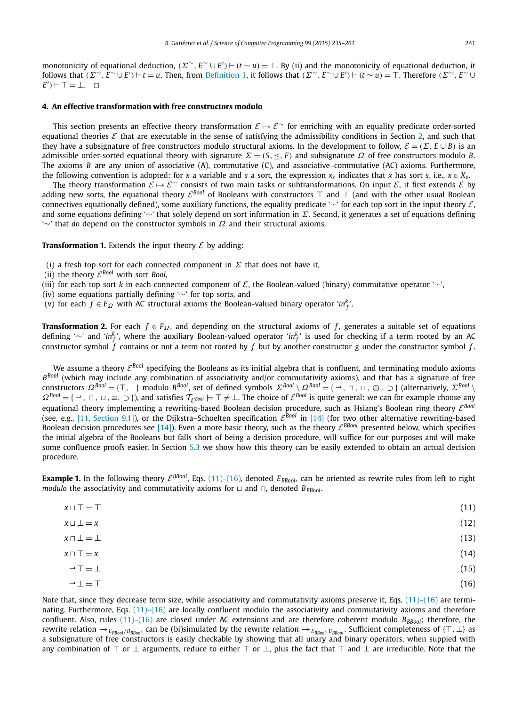<span id="page-6-0"></span>monotonicity of equational deduction,  $(\Sigma^{\sim}, E^{\sim} \cup E') \vdash (t \sim u) = \bot$ . By (ii) and the monotonicity of equational deduction, it follows that  $(\Sigma^{\sim}, E^{\sim} \cup E') \vdash t = u$ . Then, from [Definition 1,](#page-4-0) it follows that  $(\Sigma^{\sim}, E^{\sim} \cup E') \vdash (t \sim u) = \top$ . Therefore  $(\Sigma^{\sim}, E^{\sim} \cup E')$  $E'$ )  $\vdash$   $\top$   $=$   $\bot$ .  $\Box$ 

### **4. An effective transformation with free constructors modulo**

This section presents an effective theory transformation  $\mathcal{E} \mapsto \mathcal{E}^{\sim}$  for enriching with an equality predicate order-sorted equational theories  $\mathcal E$  that are executable in the sense of satisfying the admissibility conditions in Section [2,](#page-2-0) and such that they have a subsignature of free constructors modulo structural axioms. In the development to follow,  $\mathcal{E} = (\Sigma, E \cup B)$  is an admissible order-sorted equational theory with signature  $Σ = (S, ≤, F)$  and subsignature  $Ω$  of free constructors modulo *B*. The axioms *B* are any union of associative (A), commutative (C), and associative–commutative (AC) axioms. Furthermore, the following convention is adopted: for *x* a variable and *s* a sort, the expression  $x_s$  indicates that *x* has sort *s*, i.e.,  $x \in X_s$ .

The theory transformation  $\mathcal{E} \mapsto \mathcal{E}^{\sim}$  consists of two main tasks or subtransformations. On input  $\mathcal{E}$ , it first extends  $\mathcal{E}$  by adding new sorts, the equational theory E<sup>Bool</sup> of Booleans with constructors  $\top$  and ⊥ (and with the other usual Boolean connectives equationally defined), some auxiliary functions, the equality predicate '∼' for each top sort in the input theory  $\mathcal{E}$ , and some equations defining '∼' that solely depend on sort information in *Σ*. Second, it generates a set of equations defining '∼' that *do* depend on the constructor symbols in *Ω* and their structural axioms.

**Transformation 1.** Extends the input theory  $\mathcal{E}$  by adding:

- (i) a fresh top sort for each connected component in  $\Sigma$  that does not have it,
- (ii) the theory  $\mathcal{E}^{Bool}$  with sort *Bool*,
- (iii) for each top sort *k* in each connected component of  $E$ , the Boolean-valued (binary) commutative operator '∼',
- (iv) some equations partially defining '∼' for top sorts, and
- (v) for each  $f \in F_{\Omega}$  with AC structural axioms the Boolean-valued binary operator ' $in_f^k$ '.

**Transformation 2.** For each  $f \in F_\Omega$ , and depending on the structural axioms of *f*, generates a suitable set of equations defining '∼' and '*in<sup>k</sup>',* where the auxiliary Boolean-valued operator '*in<sup>k</sup>'* is used for checking if a term rooted by an AC constructor symbol *f* contains or not a term not rooted by *f* but by another constructor *g* under the constructor symbol *f* .

We assume <sup>a</sup> theory <sup>E</sup>*Bool* specifying the Booleans as its initial algebra that is confluent, and terminating modulo axioms *BBool* (which may include any combination of associativity and/or commutativity axioms), and that has a signature of free Constructors  $\Omega^{Bool} = {\top, \bot}$  modulo  $B^{Bool}$ , set of defined symbols  $\Sigma^{Bool} = {\top, \top, \bot, \oplus, \supset}$  (alternatively,  $\Sigma^{Bool} \setminus$  $Q^{Bool} = \{\rightarrow, \sqcap, \sqcup, \equiv, \supset\}$ , and satisfies  $\mathcal{T}_{\mathcal{E}^{Bool}} \models \top \neq \bot$ . The choice of  $\mathcal{E}^{Bool}$  is quite general: we can for example choose any  $\Omega^{Bool}$ equational theory implementing <sup>a</sup> rewriting-based Boolean decision procedure, such as Hsiang's Boolean ring theory <sup>E</sup>*Bool* (see, e.g., [11, [Section 9.1\]\)](#page-25-0), or the Dijkstra–Schoelten specification <sup>E</sup>*Bool* in [\[14\]](#page-25-0) (for two other alternative rewriting-based Boolean decision procedures see [\[14\]\)](#page-25-0). Even a more basic theory, such as the theory  $\mathcal{E}^{BBool}$  presented below, which specifies the initial algebra of the Booleans but falls short of being a decision procedure, will suffice for our purposes and will make some confluence proofs easier. In Section [5.3](#page-19-0) we show how this theory can be easily extended to obtain an actual decision procedure.

**Example 1.** In the following theory  $\mathcal{E}^{BBool}$ , Eqs. (11)–(16), denoted  $E_{BBool}$ , can be oriented as rewrite rules from left to right *modulo* the associativity and commutativity axioms for  $\Box$  and  $\Box$ , denoted *B<sub>BBool</sub>*.

$$
x \sqcup \top = \top \tag{11}
$$

$$
x \sqcup \bot = x \tag{12}
$$

$$
x \sqcap \bot = \bot \tag{13}
$$

$$
x \sqcap \top = x \tag{14}
$$

$$
-\top = \bot \tag{15}
$$

$$
-\perp = \perp \tag{16}
$$

Note that, since they decrease term size, while associativity and commutativity axioms preserve it, Eqs. (11)-(16) are terminating. Furthermore, Eqs. (11)–(16) are locally confluent modulo the associativity and commutativity axioms and therefore confluent. Also, rules  $(11)$ – $(16)$  are closed under AC extensions and are therefore coherent modulo  $B_{BRool}$ ; therefore, the rewrite relation →*EBBool/BBBool* can be (bi)simulated by the rewrite relation →*EBBool,BBBool* . Sufficient completeness of {*,*⊥} as a subsignature of free constructors is easily checkable by showing that all unary and binary operators, when suppied with any combination of  $\top$  or  $\bot$  arguments, reduce to either  $\top$  or  $\bot$ , plus the fact that  $\top$  and  $\bot$  are irreducible. Note that the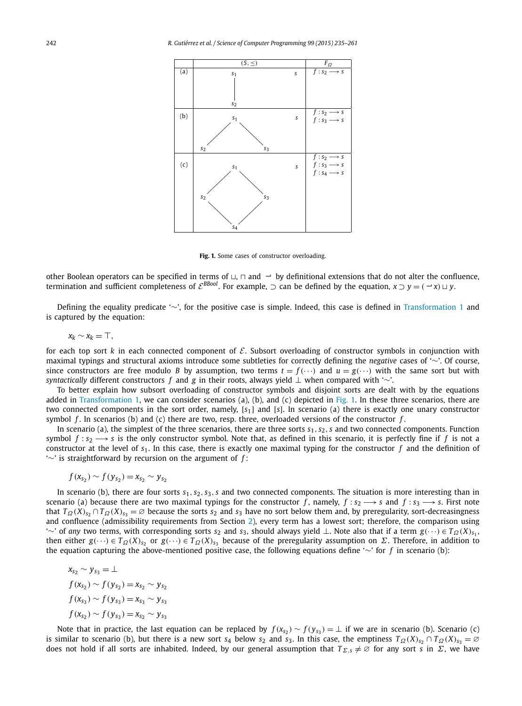

**Fig. 1.** Some cases of constructor overloading.

other Boolean operators can be specified in terms of  $\sqcup$ ,  $\sqcap$  and  $\sqsubset$  by definitional extensions that do not alter the confluence, termination and sufficient completeness of  $\mathcal{E}^{BBO0}$ . For example, ⊃ can be defined by the equation, *x* ⊃ *y* =  $($  → *x*)  $\sqcup$  *y*.

Defining the equality predicate '∼', for the positive case is simple. Indeed, this case is defined in [Transformation 1](#page-6-0) and is captured by the equation:

$$
x_k \sim x_k = \top,
$$

for each top sort  $k$  in each connected component of  $\mathcal E$ . Subsort overloading of constructor symbols in conjunction with maximal typings and structural axioms introduce some subtleties for correctly defining the *negative* cases of '∼'. Of course, since constructors are free modulo *B* by assumption, two terms  $t = f(\cdots)$  and  $u = g(\cdots)$  with the same sort but with *syntactically* different constructors *f* and *g* in their roots, always yield ⊥ when compared with '∼'.

To better explain how subsort overloading of constructor symbols and disjoint sorts are dealt with by the equations added in [Transformation 1,](#page-6-0) we can consider scenarios (a), (b), and (c) depicted in Fig. 1. In these three scenarios, there are two connected components in the sort order, namely, [*s*1] and [*s*]. In scenario (a) there is exactly one unary constructor symbol *f* . In scenarios (b) and (c) there are two, resp. three, overloaded versions of the constructor *f* .

In scenario (a), the simplest of the three scenarios, there are three sorts  $s_1, s_2, s$  and two connected components. Function symbol  $f : s_2 \longrightarrow s$  is the only constructor symbol. Note that, as defined in this scenario, it is perfectly fine if f is not a constructor at the level of  $s_1$ . In this case, there is exactly one maximal typing for the constructor  $f$  and the definition of '∼' is straightforward by recursion on the argument of *f* :

$$
f(x_{s_2}) \sim f(y_{s_2}) = x_{s_2} \sim y_{s_2}
$$

In scenario (b), there are four sorts *s*1*, s*2*, s*3*, s* and two connected components. The situation is more interesting than in scenario (a) because there are two maximal typings for the constructor *f*, namely,  $f : s_2 \longrightarrow s$  and  $f : s_3 \longrightarrow s$ . First note that  $T_{\Omega}(X)_{s_2} \cap T_{\Omega}(X)_{s_3} = \emptyset$  because the sorts  $s_2$  and  $s_3$  have no sort below them and, by preregularity, sort-decreasingness and confluence (admissibility requirements from Section [2\)](#page-2-0), every term has a lowest sort; therefore, the comparison using '∼' of *any* two terms, with corresponding sorts *s*<sup>2</sup> and *s*3, should always yield ⊥. Note also that if a term *g(*···*)* ∈ *T<sup>Ω</sup> (X)<sup>s</sup>*<sup>1</sup> , then either  $g(\cdots) \in T_{\Omega}(X)_{s_2}$  or  $g(\cdots) \in T_{\Omega}(X)_{s_3}$  because of the preregularity assumption on  $\Sigma$ . Therefore, in addition to the equation capturing the above-mentioned positive case, the following equations define '∼' for *f* in scenario (b):

$$
x_{s_2} \sim y_{s_3} = \bot
$$
  
\n
$$
f(x_{s_2}) \sim f(y_{s_2}) = x_{s_2} \sim y_{s_2}
$$
  
\n
$$
f(x_{s_3}) \sim f(y_{s_3}) = x_{s_3} \sim y_{s_3}
$$
  
\n
$$
f(x_{s_2}) \sim f(y_{s_3}) = x_{s_2} \sim y_{s_3}
$$

Note that in practice, the last equation can be replaced by  $f(x_{s_2}) \sim f(y_{s_3}) = \bot$  if we are in scenario (b). Scenario (c) is similar to scenario (b), but there is a new sort  $s_4$  below  $s_2$  and  $s_3$ . In this case, the emptiness  $T_{\Omega}(X)_{s_2} \cap T_{\Omega}(X)_{s_3} = \emptyset$ does not hold if all sorts are inhabited. Indeed, by our general assumption that  $T_{\Sigma,s} \neq \emptyset$  for any sort *s* in  $\Sigma$ , we have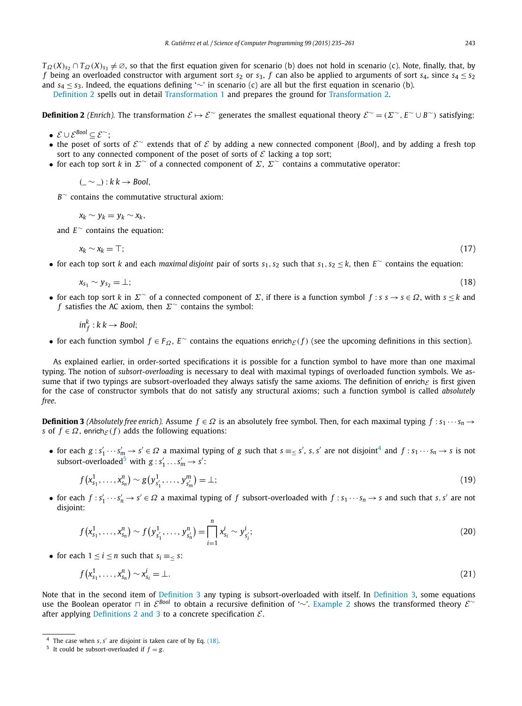<span id="page-8-0"></span> $T_Q(X)_{s_2} \cap T_Q(X)_{s_3} \neq \emptyset$ , so that the first equation given for scenario (b) does not hold in scenario (c). Note, finally, that, by *f* being an overloaded constructor with argument sort  $s_2$  or  $s_3$ , *f* can also be applied to arguments of sort  $s_4$ , since  $s_4 \leq s_2$ and *s*<sup>4</sup> ≤ *s*3. Indeed, the equations defining '∼' in scenario (c) are all but the first equation in scenario (b). Definition 2 spells out in detail [Transformation 1](#page-6-0) and prepares the ground for [Transformation 2.](#page-6-0)

**Definition 2** *(Enrich).* The transformation  $E \mapsto E^{\sim}$  generates the smallest equational theory  $E^{\sim} = (E^{\sim}, E^{\sim} \cup B^{\sim})$  satisfying:

- <sup>E</sup> <sup>∪</sup> <sup>E</sup>*Bool* <sup>⊆</sup> <sup>E</sup>∼;
- the poset of sorts of <sup>E</sup><sup>∼</sup> extends that of <sup>E</sup> by adding <sup>a</sup> new connected component {*Bool*}, and by adding <sup>a</sup> fresh top sort to any connected component of the poset of sorts of  $\mathcal E$  lacking a top sort;
- for each top sort *k* in *Σ*<sup>∼</sup> of a connected component of *Σ*, *Σ*<sup>∼</sup> contains a commutative operator:

 $($   $\sim$   $\)$  : *k k* → *Bool*,

*B*<sup>∼</sup> contains the commutative structural axiom:

 $x_k$  ∼  $y_k = y_k$  ∼  $x_k$ *,* 

and *E*<sup>∼</sup> contains the equation:

$$
x_k \sim x_k = \top; \tag{17}
$$

• for each top sort *k* and each *maximal disjoint* pair of sorts  $s_1, s_2$  such that  $s_1, s_2 \leq k$ , then  $E^{\sim}$  contains the equation:

$$
x_{s_1} \sim y_{s_2} = \perp; \tag{18}
$$

• for each top sort *k* in *Σ*<sup>∼</sup> of a connected component of *Σ*, if there is a function symbol *f* : *s s* → *s* ∈ *Ω*, with *s* ≤ *k* and *f* satisfies the AC axiom, then *Σ*<sup>∼</sup> contains the symbol:

 $in_f^k : k k \rightarrow \text{Bool};$ 

• for each function symbol  $f \in F_{\Omega}$ ,  $E^{\sim}$  contains the equations enrich<sub>*E*</sub>(*f*) (see the upcoming definitions in this section).

As explained earlier, in order-sorted specifications it is possible for a function symbol to have more than one maximal typing. The notion of *subsort-overloading* is necessary to deal with maximal typings of overloaded function symbols. We assume that if two typings are subsort-overloaded they always satisfy the same axioms. The definition of enriche is first given for the case of constructor symbols that do not satisfy any structural axioms; such a function symbol is called *absolutely free*.

**Definition 3** *(Absolutely free enrich).* Assume  $f \in \Omega$  is an absolutely free symbol. Then, for each maximal typing  $f : s_1 \cdots s_n \rightarrow$ *s* of  $f \in \Omega$ , enrich $\epsilon(f)$  adds the following equations:

• for each  $g: s_1' \cdots s_m' \to s' \in \Omega$  a maximal typing of g such that  $s \equiv_{\leq} s', s, s'$  are not disjoint<sup>4</sup> and  $f: s_1 \cdots s_n \to s$  is not subsort-overloaded<sup>5</sup> with  $g : s'_1 \dots s'_m \rightarrow s'$ :

$$
f(x_{s_1}^1, \ldots, x_{s_n}^n) \sim g(y_{s'_1}^1, \ldots, y_{s'_m}^m) = \bot;
$$
\n(19)

• for each  $f: s'_1 \cdots s'_n \to s' \in \Omega$  a maximal typing of f subsort-overloaded with  $f: s_1 \cdots s_n \to s$  and such that s, s' are not disioint:

$$
f(x_{s_1}^1, \ldots, x_{s_n}^n) \sim f(y_{s'_1}^1, \ldots, y_{s'_n}^n) = \prod_{i=1}^n x_{s_i}^i \sim y_{s'_i}^i;
$$
\n(20)

• for each  $1 \le i \le n$  such that  $s_i \equiv \le s$ :

$$
f(x_{s_1}^1, \ldots, x_{s_n}^n) \sim x_{s_i}^i = \bot.
$$
\n(21)

Note that in the second item of Definition 3 any typing is subsort-overloaded with itself. In Definition 3, some equations use the Boolean operator  $\Box$  in  $\mathcal{E}^{Bool}$  to obtain a recursive definition of '∼'. [Example 2](#page-9-0) shows the transformed theory  $\mathcal{E}^{\sim}$ after applying Definitions 2 and 3 to a concrete specification  $\mathcal{E}$ .

<sup>&</sup>lt;sup>4</sup> The case when  $s, s'$  are disjoint is taken care of by Eq.  $(18)$ .

<sup>&</sup>lt;sup>5</sup> It could be subsort-overloaded if  $f = g$ .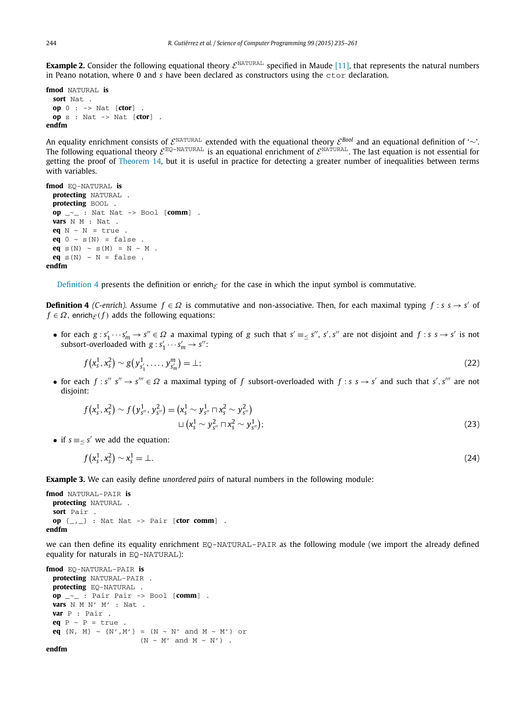<span id="page-9-0"></span>**Example 2.** Consider the following equational theory  $\mathcal{E}^{\text{NATURAL}}$  specified in Maude [\[11\],](#page-25-0) that represents the natural numbers in Peano notation, where 0 and *s* have been declared as constructors using the ctor declaration.

```
fmod NATURAL is
 sort Nat .
 op 0 : -> Nat [ctor] .
 op s : Nat -> Nat [ctor] .
endfm
```
An equality enrichment consists of  $\mathcal{E}^{NATURAL}$  extended with the equational theory  $\mathcal{E}^{Bool}$  and an equational definition of '∼'. The following equational theory  $\mathcal{E}^{EQ-NATURAL}$  is an equational enrichment of  $\mathcal{E}^{NATURAL}$ . The last equation is not essential for getting the proof of [Theorem 14,](#page-22-0) but it is useful in practice for detecting a greater number of inequalities between terms with variables.

```
fmod EQ-NATURAL is
 protecting NATURAL .
 protecting BOOL .
 op _~_ : Nat Nat -> Bool [comm] .
 vars N M : Nat .
 eq N \sim N = true.
 eq 0 \sim s(N) = false.
 eq s(N) \sim s(M) = N \sim M.
 eq s(N) \sim N = false.
endfm
```
Definition 4 presents the definition or enrich<sub> $\epsilon$ </sub> for the case in which the input symbol is commutative.

**Definition 4** (*C-enrich*). Assume  $f \in \Omega$  is commutative and non-associative. Then, for each maximal typing  $f : s \rightarrow s'$  of  $f \in \Omega$ , enrich $\epsilon(f)$  adds the following equations:

• for each  $g: s'_1 \cdots s'_m \to s'' \in \Omega$  a maximal typing of g such that  $s' \equiv_{\leq} s'', s', s''$  are not disjoint and  $f: s \to s'$  is not subsort-overloaded with  $g : s'_1 \cdots s'_m \rightarrow s''$ :

$$
f(x_5^1, x_5^2) \sim g(y_{s_1'}^1, \dots, y_{s_m''}^m) = \bot;
$$
\n(22)

• for each  $f : s'' \text{ } s'' \rightarrow s''' \in \Omega$  a maximal typing of  $f$  subsort-overloaded with  $f : s \rightarrow s'$  and such that  $s', s'''$  are not disjoint:

$$
f(x_s^1, x_s^2) \sim f(y_{s''}^1, y_{s''}^2) = (x_s^1 \sim y_{s''}^1 \sqcap x_s^2 \sim y_{s''}^2)
$$
  

$$
\sqcup (x_s^1 \sim y_{s''}^2 \sqcap x_s^2 \sim y_{s''}^1);
$$
 (23)

• if  $s \equiv < s'$  we add the equation:

$$
f\left(x_s^1, x_s^2\right) \sim x_s^1 = \bot. \tag{24}
$$

**Example 3.** We can easily define *unordered pairs* of natural numbers in the following module:

```
fmod NATURAL-PAIR is
 protecting NATURAL .
 sort Pair .
 op \{\_\\_\} : Nat Nat \rightarrow Pair [ctor comm] .
endfm
```
we can then define its equality enrichment EQ-NATURAL-PAIR as the following module (we import the already defined equality for naturals in EQ-NATURAL):

```
fmod EQ-NATURAL-PAIR is
 protecting NATURAL-PAIR .
 protecting EQ-NATURAL .
 op _~_ : Pair Pair -> Bool [comm] .
 vars N M N' M' : Nat .
 var P : Pair .
 eq P \sim P = true.
 eq \{N, M\} \sim \{N', M'\} = (N \sim N' \text{ and } M \sim M') \text{ or }(N \sim M' and M \sim N').
```

```
endfm
```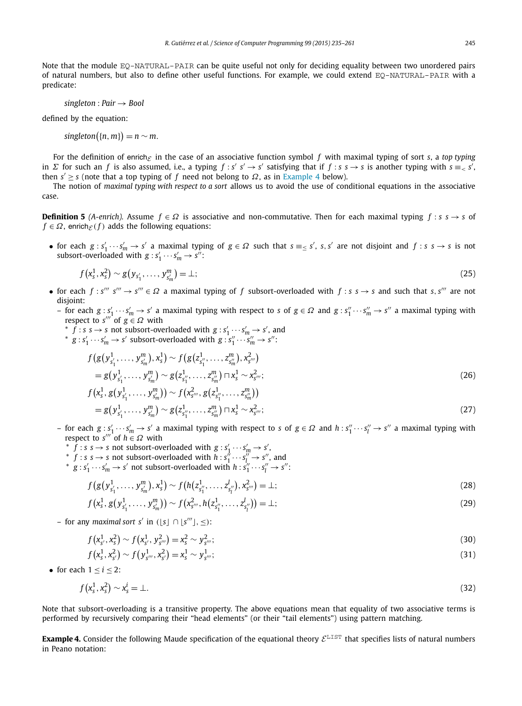<span id="page-10-0"></span>Note that the module EQ-NATURAL-PAIR can be quite useful not only for deciding equality between two unordered pairs of natural numbers, but also to define other useful functions. For example, we could extend EQ-NATURAL-PAIR with a predicate:

*singleton* : *Pair* → *Bool*

defined by the equation:

 $singleton(\{n, m\}) = n \sim m$ .

For the definition of enrich<sub> $\epsilon$ </sub> in the case of an associative function symbol f with maximal typing of sort *s*, a *top typing* in *Σ* for such an *f* is also assumed, i.e., a typing  $f : s' \rightarrow s'$  satisfying that if  $f : s \rightarrow s$  is another typing with  $s \equiv_{\lt} s'$ , then  $s' \geq s$  (note that a top typing of f need not belong to  $\Omega$ , as in Example 4 below).

The notion of *maximal typing with respect to a sort* allows us to avoid the use of conditional equations in the associative case.

**Definition 5** (A-enrich). Assume  $f \in \Omega$  is associative and non-commutative. Then for each maximal typing  $f : s \rightarrow s$  of  $f \in \Omega$ , enrich<sub> $\epsilon$ </sub> $(f)$  adds the following equations:

• for each  $g: s'_1 \cdots s'_m \to s'$  a maximal typing of  $g \in \Omega$  such that  $s \equiv_{\leq} s'$ , s, s' are not disjoint and  $f: s \to s$  is not subsort-overloaded with  $g : s'_1 \cdots s'_m \rightarrow s''$ :

$$
f(x_s^1, x_s^2) \sim g(y_{s_1'}, \dots, y_{s_m''}^m) = \bot;
$$
\n(25)

- for each  $f : s''' \simeq s''' \in \Omega$  a maximal typing of f subsort-overloaded with  $f : s \simeq s$  and such that  $s, s'''$  are not disjoint:
	- $\frac{1}{2}$  or each *g* : *s*<sup>*i*</sup> ··· *s*<sup>*m*</sup> → *s<sup><i>i*</sup> a maximal typing with respect to *s* of *g* ∈ *Ω* and *g* : *s*<sup>*i*</sup> ··· *s*<sup>*i*</sup> → *s*<sup>*i*</sup> a maximal typing with respect to  $s'''$  of  $g \in \Omega$  with
		- \*  $f : s \rightarrow s$  not subsort-overloaded with  $g : s'_1 \cdots s'_m \rightarrow s'$ , and
		- \*  $g : s'_1 \cdots s'_m \rightarrow s'$  subsort-overloaded with  $g : s''_1 \cdots s''_m \rightarrow s''$ :

$$
f(g(y_{s'_1}^1, \ldots, y_{s'_m}^m), x_s^1) \sim f(g(z_{s''_1}^1, \ldots, z_{s''_m}^m), x_{s''}^2)
$$
  
\n
$$
= g(y_{s'_1}^1, \ldots, y_{s'_m}^m) \sim g(z_{s''_1}^1, \ldots, z_{s''_m}^m) \cap x_s^1 \sim x_{s''}^2;
$$
  
\n
$$
f(x_s^1, g(y_{s'_1}^1, \ldots, y_{s'_m}^m)) \sim f(x_{s''}^2, g(z_{s''_1}^1, \ldots, z_{s''_m}^m))
$$
  
\n
$$
= g(y_{s'_1}^1, \ldots, y_{s'_m}^m) \sim g(z_{s''_1}^1, \ldots, z_{s''_m}^m) \cap x_s^1 \sim x_{s''}^2;
$$
\n(27)

 $-$  for each *g* : *s*<sup>*l*</sup> ··· *s*<sup>*m*</sup> → *s*<sup>*l*</sup> a maximal typing with respect to *s* of *g* ∈ *Ω* and *h* : *s*<sup>*l*</sup> ··· *s*<sup>*l*</sup> → *s*<sup>*l*</sup> a maximal typing with respect to  $s^{\prime\prime\prime}$  of  $h \in \Omega$  with

\*  $\hat{f}$  : *s s*  $\rightarrow$  *s* not subsort-overloaded with  $g : s'_1 \cdots s'_m \rightarrow s'$ ,

\*  $f : s \rightarrow s$  not subsort-overloaded with  $h : s_1'' \cdots s_l'' \rightarrow s''$ , and<br>\*  $g : s_1' \cdots s_m' \rightarrow s'$  not subsort-overloaded with  $h : s_1'' \cdots s_l'' \rightarrow s''$ :

$$
f(g(\mathbf{y}_{s'_1}^1, \dots, \mathbf{y}_{s'_m}^m), \mathbf{x}_s^1) \sim f(h(z_{s''_1}^1, \dots, z_{s''_1}^l), \mathbf{x}_{s''}^2) = \perp;
$$
\n(28)

$$
f(x_5^1, g(y_{s'_1}^1, \ldots, y_{s'_m}^m)) \sim f(x_{s''}^2, h(z_{s''_1}^1, \ldots, z_{s''_1}^l)) = \bot;
$$
\n(29)

 $-$  for any *maximal sort s'* in  $(|s| \cap |s'''|, \leq)$ :

$$
f\left(x_{s'}^1, x_s^2\right) \sim f\left(x_{s'}^1, y_{s'''}^2\right) = x_s^2 \sim y_{s''}^2;
$$
\n(30)

$$
f(x_s^1, x_{s'}^2) \sim f(y_{s'''}^1, x_{s'}^2) = x_s^1 \sim y_{s'''}^1; \tag{31}
$$

• for each  $1 \le i \le 2$ :

$$
f\left(x_s^1, x_s^2\right) \sim x_s^i = \perp. \tag{32}
$$

Note that subsort-overloading is a transitive property. The above equations mean that equality of two associative terms is performed by recursively comparing their "head elements" (or their "tail elements") using pattern matching.

**Example 4.** Consider the following Maude specification of the equational theory  $\mathcal{E}^{\text{LIST}}$  that specifies lists of natural numbers in Peano notation: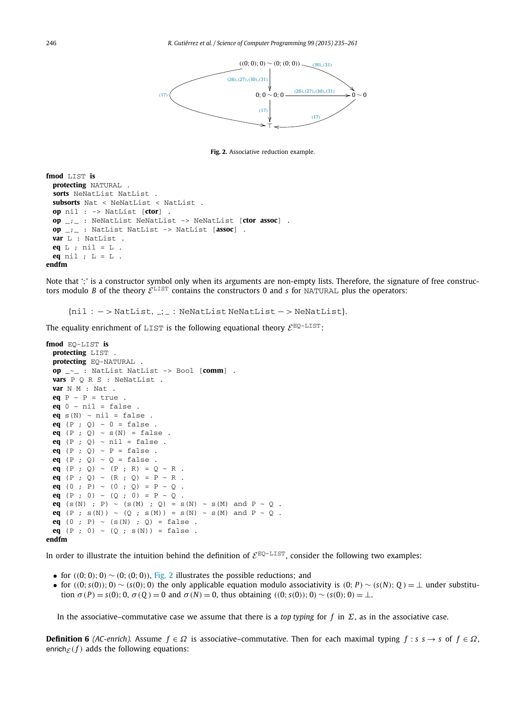<span id="page-11-0"></span>

**Fig. 2.** Associative reduction example.

```
fmod LIST is
 protecting NATURAL .
 sorts NeNatList NatList .
 subsorts Nat < NeNatList < NatList .
 op nil : -> NatList [ctor] .
 op _;_ : NeNatList NeNatList -> NeNatList [ctor assoc] .
 op _;_ : NatList NatList -> NatList [assoc] .
 var L : NatList .
 eq L ; nil = L .
 eq nil ; L = L .
endfm
```
Note that ';' is a constructor symbol only when its arguments are non-empty lists. Therefore, the signature of free constructors modulo *B* of the theory  $\mathcal{E}^{\text{LIST}}$  contains the constructors 0 and *s* for NATURAL plus the operators:

{nil : − *>* NatList*,* \_; \_ : NeNatList NeNatList − *>* NeNatList}*.*

The equality enrichment of LIST is the following equational theory  $\mathcal{E}^{\text{EQ-LIST}}$ :

```
fmod EQ-LIST is
 protecting LIST .
 protecting EQ-NATURAL .
 op _~_ : NatList NatList -> Bool [comm] .
 vars P Q R S : NeNatList .
 var N M : Nat .
 eq P ~ P = true .
 eq 0 \sim \text{nil} = \text{false}.
 eq s(N) \sim nil = false.
 eq (P ; Q) \sim 0 = false.
 eq (P ; Q) \sim s(N) = false.
 eq (P ; Q) \sim nil = false.
 eq (P ; Q) \sim P = false.
 eq (P ; Q) ~\sim Q = false.
 eq (P ; Q) \sim (P ; R) = Q \sim R.
 eq (P ; Q) \sim (R ; Q) = P \sim R.
 eq (0 ; P) \sim (0 ; Q) = P \sim Q.
 eq (P ; 0) ~ \sim ~ (Q ; 0) = P ~ \sim ~ Q .eq (s(N) ; P) ~ (s(M) ; Q) = s(N) ~ s(M) and P ~ Q.
 eq (P ; s(N)) ~ (Q ; s(M)) = s(N) ~ s(M) and P \sim Q.
 eq (0 ; P) \sim (s(N) ; Q) = false.
 eq (P ; 0) ~ 0.25 (Q ; s(N)) = false.endfm
```
In order to illustrate the intuition behind the definition of  $\mathcal{E}^{EQ-LIST}$ , consider the following two examples:

- for  $((0, 0), 0) \sim (0, (0, 0))$ , Fig. 2 illustrates the possible reductions; and
- for  $((0; s(0)); 0) \sim (s(0); 0)$  the only applicable equation modulo associativity is  $(0; P) \sim (s(N); Q) = \perp$  under substitution  $\sigma(P) = s(0)$ ; 0,  $\sigma(Q) = 0$  and  $\sigma(N) = 0$ , thus obtaining  $((0; s(0))$ ; 0)  $\sim$   $(s(0); 0) = \perp$ .

In the associative–commutative case we assume that there is a *top typing* for *f* in *Σ*, as in the associative case.

**Definition 6** (AC-enrich). Assume  $f \in \Omega$  is associative–commutative. Then for each maximal typing  $f : s \rightarrow s$  of  $f \in \Omega$ , enrich<sub> $\epsilon$ </sub>(*f*) adds the following equations: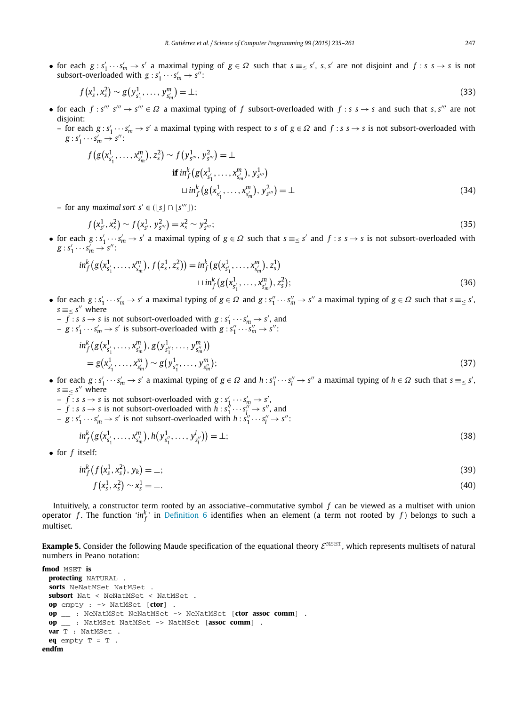<span id="page-12-0"></span>• for each  $g: s'_1 \cdots s'_m \to s'$  a maximal typing of  $g \in \Omega$  such that  $s \equiv_{\leq} s'$ , s, s' are not disjoint and  $f: s \to s$  is not subsort-overloaded with  $g : s'_1 \cdots s'_m \rightarrow s''$ :

$$
f(x_s^1, x_s^2) \sim g(y_{s_1'}^1, \dots, y_{s_m''}^m) = \bot;
$$
\n(33)

- for each  $f : s''' \simeq s''' \in \Omega$  a maximal typing of f subsort-overloaded with  $f : s \simeq s$  and such that  $s, s'''$  are not disjoint:
	- $-$  for each *g* : *s*<sup>1</sup> ··· *s*<sup>*m*</sup> → *s*<sup>*'*</sup> a maximal typing with respect to *s* of *g* ∈ *Ω* and *f* : *s s* → *s* is not subsort-overloaded with  $g: s'_1 \cdots s'_m \rightarrow s''$

$$
f(g(x_{s'_1}^1, \ldots, x_{s'_m}^m), z_s^2) \sim f(y_{s''}^1, y_{s''}^2) = \perp
$$
  
\n**if**  $inf_f(g(x_{s'_1}^1, \ldots, x_{s'_m}^m), y_{s''}^1)$   
\n
$$
\perp inf_f(g(x_{s'_1}^1, \ldots, x_{s'_m}^m), y_{s''}^2) = \perp
$$
\n(34)

– for any *maximal sort s*<sup> $′$ </sup> ∈  $(|s| ∩ |s'''|)$ :

$$
f(x_{s'}^{1}, x_{s}^{2}) \sim f(x_{s'}^{1}, y_{s''}^{2}) = x_{s}^{2} \sim y_{s''}^{2};
$$
\n(35)

• for each  $g: s_1' \cdots s_m' \to s'$  a maximal typing of  $g \in \Omega$  such that  $s \equiv_{\leq} s'$  and  $f: s \to s$  is not subsort-overloaded with  $g: s'_1 \cdots s'_m \rightarrow s''$ 

$$
in_f^k(g(x_{s'_1}^1, \ldots, x_{s'_m}^m), f(z_s^1, z_s^2)) = in_f^k(g(x_{s'_1}^1, \ldots, x_{s'_m}^m), z_s^1)
$$
  

$$
\sqcup in_f^k(g(x_{s'_1}^1, \ldots, x_{s'_m}^m), z_s^2);
$$
\n(36)

- for each  $g: s'_1 \cdots s'_m \to s'$  a maximal typing of  $g \in \Omega$  and  $g: s''_1 \cdots s''_m \to s''$  a maximal typing of  $g \in \Omega$  such that  $s \equiv_{\leq} s'$ ,  $s \equiv s$ <sup>*s*</sup> where
- 
- $\overline{f}: s \overline{s} \rightarrow s$  is not subsort-overloaded with  $g: s'_1 \cdots s'_m \rightarrow s'$ , and  $\overline{g}: s'_1 \cdots s'_m \rightarrow s'$  is subsort-overloaded with  $g: s''_1 \cdots s''_m \rightarrow s''$ :

$$
in_f^k(g(x_{s'_1}^1, \ldots, x_{s'_m}^m), g(y_{s''_1}^1, \ldots, y_{s'_m}^m))
$$
  
=  $g(x_{s'_1}^1, \ldots, x_{s'_m}^m) \sim g(y_{s''_1}^1, \ldots, y_{s''_m}^m);$  (37)

- for each  $g: s'_1 \cdots s'_m \to s'$  a maximal typing of  $g \in \Omega$  and  $h: s''_1 \cdots s''_l \to s''$  a maximal typing of  $h \in \Omega$  such that  $s \equiv_{\leq} s'$ ,  $s \equiv s$ <sup>*s*</sup> where
	- $-\int \cdots s'_m \to s'$  is not subsort-overloaded with  $g: s'_1 \cdots s'_m \to s'$ ,
	- $f: s \rightarrow s$  is not subsort-overloaded with  $\overline{h}: s_1'' \cdots s_l'' \rightarrow s''$ , and  $g: s_1' \cdots s_m'' \rightarrow s'$  is not subsort-overloaded with  $h: s_1'' \cdots s_l'' \rightarrow s''$ .
	-

$$
in_f^k(g(x_{s'_1}^1, \ldots, x_{s'_m}^m), h(y_{s''_1}^1, \ldots, y_{s''_l}^l)) = \bot;
$$
\n(38)

• for *f* itself:

$$
in_f^k(f(x_s^1, x_s^2), y_k) = \bot;
$$
\n(39)

$$
f\left(x_s^1, x_s^2\right) \sim x_s^1 = \bot. \tag{40}
$$

Intuitively, a constructor term rooted by an associative–commutative symbol *f* can be viewed as a multiset with union operator *f* . The function '*ink <sup>f</sup>* ' in [Definition 6](#page-11-0) identifies when an element (a term not rooted by *f* ) belongs to such a multiset.

**Example 5.** Consider the following Maude specification of the equational theory  $\mathcal{E}^{\text{MSET}}$ , which represents multisets of natural numbers in Peano notation:

```
fmod MSET is
 protecting NATURAL .
 sorts NeNatMSet NatMSet .
 subsort Nat < NeNatMSet < NatMSet .
 op empty : -> NatMSet [ctor] .
 op __ : NeNatMSet NeNatMSet -> NeNatMSet [ctor assoc comm] .
 op __ : NatMSet NatMSet -> NatMSet [assoc comm] .
 var T : NatMSet .
 eq empty T = T.
endfm
```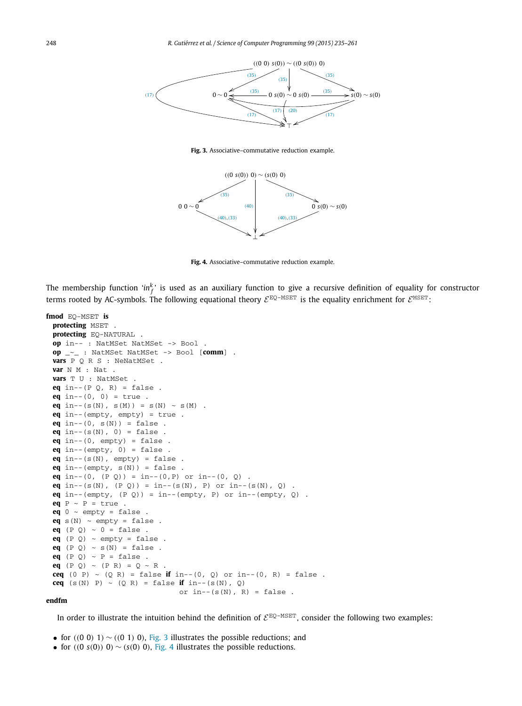

**Fig. 3.** Associative–commutative reduction example.



**Fig. 4.** Associative–commutative reduction example.

The membership function 'in $_f^k$ ' is used as an auxiliary function to give a recursive definition of equality for constructor terms rooted by AC-symbols. The following equational theory  $\mathcal{E}^{EQ-MSET}$  is the equality enrichment for  $\mathcal{E}^{MSET}$ :

```
fmod EQ-MSET is
 protecting MSET .
 protecting EQ-NATURAL .
 op in-- : NatMSet NatMSet -> Bool .
 op _~_ : NatMSet NatMSet -> Bool [comm] .
 vars P Q R S : NeNatMSet .
 var N M : Nat .
 vars T U : NatMSet .
 eq in--(P Q, R) = false .
 eq in--(0, 0) = true .
 eq in--(s(N), s(M)) = s(N) \sim s(M).
 eq in--(empty, empty) = true .
 eq in--(0, s(N)) = false .
 eq in--(s(N), 0) = false .
 eq in--(0, empty) = false .
 eq in--(empty, 0) = false .
 eq in--(s(N), empty) = false .
 eq in--(empty, s(N)) = false.
 eq in--(0, (P Q)) = in--(0,P) or in--(0, Q) .
 eq in--(s(N), (P(Q)) = in--(s(N), P) or in--(s(N), Q) .
 eq in--(empty, (P Q)) = in--(empty, P) or in--(empty, Q) .
 eq P \sim P = true.
 eq 0 \sim empty = false.
 eq s(N) \sim empty = false
 eq (P Q) \sim 0 = false.
 eq (P Q) \sim empty = false.
 eq (P Q) \sim s(N) = false.
 eq (P Q) \sim P = false.
 eq (P Q) ~ (P R) = Q \sim R.
 ceq (0 P) ~ (Q R) = false if in--(0, Q) or in--(0, R) = false.
 ceq (s(N) P) ~ (Q R) = false if in--(s(N), Q)
                                or in--(s(N), R) = false.
```
#### **endfm**

In order to illustrate the intuition behind the definition of  $\mathcal{E}^{EQ-MSET}$ , consider the following two examples:

- for *((*0 0*)* 1*)* ∼ *((*0 1*)* 0*)*, Fig. 3 illustrates the possible reductions; and
- for  $((0 \text{ } s(0)) \text{ } 0) \sim (s(0) \text{ } 0)$ , Fig. 4 illustrates the possible reductions.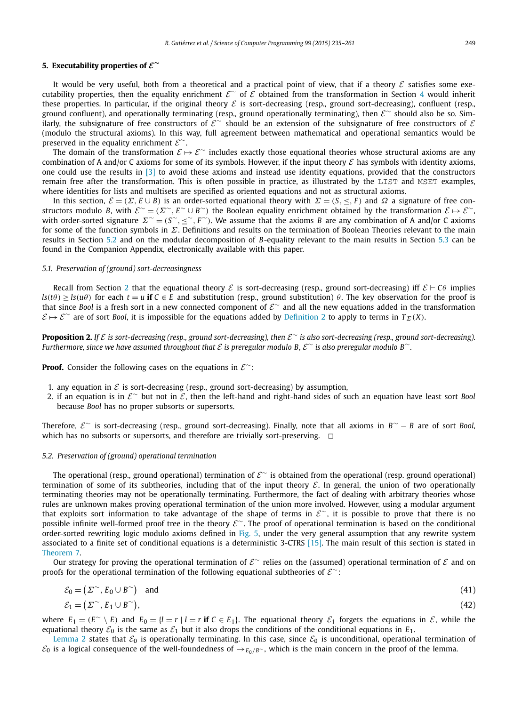# <span id="page-14-0"></span>**5. Executability properties of** *E***<sup>∼</sup>**

It would be very useful, both from a theoretical and a practical point of view, that if a theory  $\mathcal E$  satisfies some executability properties, then the equality enrichment  $\mathcal{E}^{\sim}$  of  $\mathcal{E}$  obtained from the transformation in Section [4](#page-6-0) would inherit these properties. In particular, if the original theory  $\mathcal E$  is sort-decreasing (resp., ground sort-decreasing), confluent (resp., ground confluent), and operationally terminating (resp., ground operationally terminating), then  $\mathcal{E}^{\sim}$  should also be so. Similarly, the subsignature of free constructors of  $\mathcal{E}^{\sim}$  should be an extension of the subsignature of free constructors of  $\mathcal{E}$ (modulo the structural axioms). In this way, full agreement between mathematical and operational semantics would be preserved in the equality enrichment  $\mathcal{E}^{\sim}$ .

The domain of the transformation  $\mathcal{E} \mapsto \mathcal{E}^{\sim}$  includes exactly those equational theories whose structural axioms are any combination of A and/or C axioms for some of its symbols. However, if the input theory  $\mathcal E$  has symbols with identity axioms, one could use the results in [\[3\]](#page-25-0) to avoid these axioms and instead use identity equations, provided that the constructors remain free after the transformation. This is often possible in practice, as illustrated by the LIST and MSET examples, where identities for lists and multisets are specified as oriented equations and not as structural axioms.

In this section,  $\mathcal{E} = (\Sigma, E \cup B)$  is an order-sorted equational theory with  $\Sigma = (S, \leq, F)$  and  $\Omega$  a signature of free constructors modulo *B*, with  $\mathcal{E}^{\sim} = (\Sigma^{\sim}, E^{\sim} \cup B^{\sim})$  the Boolean equality enrichment obtained by the transformation  $\mathcal{E} \mapsto \mathcal{E}^{\sim}$ , with order-sorted signature *Σ*<sup>∼</sup> = *(S*∼*,*≤∼*, F* <sup>∼</sup>*)*. We assume that the axioms *B* are any combination of A and/or C axioms for some of the function symbols in *Σ*. Definitions and results on the termination of Boolean Theories relevant to the main results in Section 5.2 and on the modular decomposition of *B*-equality relevant to the main results in Section [5.3](#page-19-0) can be found in the Companion Appendix, electronically available with this paper.

# *5.1. Preservation of (ground) sort-decreasingness*

Recall from Section [2](#page-2-0) that the equational theory  $\mathcal E$  is sort-decreasing (resp., ground sort-decreasing) iff  $\mathcal E \vdash C\theta$  implies  $ls(t\theta) \geq ls(u\theta)$  for each  $t = u$  **if**  $C \in E$  and substitution (resp., ground substitution)  $\theta$ . The key observation for the proof is that since *Bool* is a fresh sort in a new connected component of  $E^{\sim}$  and all the new equations added in the transformation <sup>E</sup> → <sup>E</sup><sup>∼</sup> are of sort *Bool*, it is impossible for the equations added by [Definition 2](#page-8-0) to apply to terms in *<sup>T</sup><sup>Σ</sup> (X)*.

**Proposition 2.** If  $\mathcal E$  is sort-decreasing (resp., ground sort-decreasing), then  $\mathcal E^{\sim}$  is also sort-decreasing (resp., ground sort-decreasing). Furthermore, since we have assumed throughout that  $\mathcal E$  is preregular modulo B,  $\mathcal E^{\sim}$  is also preregular modulo B $^{\sim}$ .

**Proof.** Consider the following cases on the equations in  $\mathcal{E}^{\sim}$ :

- 1. any equation in  $\mathcal E$  is sort-decreasing (resp., ground sort-decreasing) by assumption,
- 2. if an equation is in <sup>E</sup><sup>∼</sup> but not in <sup>E</sup>, then the left-hand and right-hand sides of such an equation have least sort *Bool* because *Bool* has no proper subsorts or supersorts.

Therefore, <sup>E</sup><sup>∼</sup> is sort-decreasing (resp., ground sort-decreasing). Finally, note that all axioms in *<sup>B</sup>*<sup>∼</sup> <sup>−</sup> *<sup>B</sup>* are of sort *Bool*, which has no subsorts or supersorts, and therefore are trivially sort-preserving.  $\Box$ 

#### *5.2. Preservation of (ground) operational termination*

The operational (resp., ground operational) termination of  $\mathcal{E}^{\sim}$  is obtained from the operational (resp. ground operational) termination of some of its subtheories, including that of the input theory  $\mathcal E$ . In general, the union of two operationally terminating theories may not be operationally terminating. Furthermore, the fact of dealing with arbitrary theories whose rules are unknown makes proving operational termination of the union more involved. However, using a modular argument that exploits sort information to take advantage of the shape of terms in  $\mathcal{E}^{\sim}$ , it is possible to prove that there is no possible infinite well-formed proof tree in the theory  $\mathcal{E}^{\sim}$ . The proof of operational termination is based on the conditional order-sorted rewriting logic modulo axioms defined in [Fig. 5,](#page-15-0) under the very general assumption that any rewrite system associated to a finite set of conditional equations is a deterministic 3-CTRS [\[15\].](#page-25-0) The main result of this section is stated in [Theorem 7.](#page-18-0)

Our strategy for proving the operational termination of  $\mathcal{E}^{\sim}$  relies on the (assumed) operational termination of  $\mathcal{E}$  and on proofs for the operational termination of the following equational subtheories of  $\mathcal{E}^{\sim}$ :

$$
\mathcal{E}_0 = (\Sigma^\sim, E_0 \cup B^\sim) \quad \text{and} \tag{41}
$$

$$
\mathcal{E}_1 = \left( \Sigma^\sim, E_1 \cup B^\sim \right),\tag{42}
$$

where  $E_1 = (E^\sim \setminus E)$  and  $E_0 = \{l = r \mid l = r \text{ if } C \in E_1\}$ . The equational theory  $\mathcal{E}_1$  forgets the equations in  $\mathcal{E}_2$ , while the equational theory  $\mathcal{E}_0$  is the same as  $\mathcal{E}_1$  but it also drops the conditions of the conditional equations in  $E_1$ .

[Lemma 2](#page-15-0) states that  $\mathcal{E}_0$  is operationally terminating. In this case, since  $\mathcal{E}_0$  is unconditional, operational termination of E<sup>0</sup> is <sup>a</sup> logical consequence of the well-foundedness of →*<sup>E</sup>*0*/B*<sup>∼</sup> , which is the main concern in the proof of the lemma.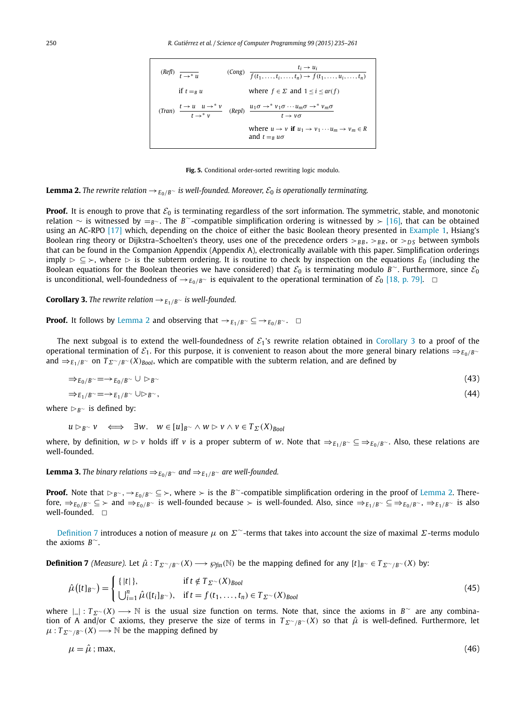<span id="page-15-0"></span>

**Fig. 5.** Conditional order-sorted rewriting logic modulo.

**Lemma 2.** The rewrite relation  $\rightarrow$   $E_0/B$ <sup> $\sim$ </sup> is well-founded. Moreover,  $\mathcal{E}_0$  is operationally terminating.

**Proof.** It is enough to prove that  $\mathcal{E}_0$  is terminating regardless of the sort information. The symmetric, stable, and monotonic relation ∼ is witnessed by =<sub>*B*∼</sub>. The *B*∼-compatible simplification ordering is witnessed by > [\[16\],](#page-25-0) that can be obtained using an AC-RPO [\[17\]](#page-25-0) which, depending on the choice of either the basic Boolean theory presented in [Example 1,](#page-6-0) Hsiang's Boolean ring theory or Dijkstra–Schoelten's theory, uses one of the precedence orders  $>_{BB}$ ,  $>_{BB}$ , or  $>_{DS}$  between symbols that can be found in the Companion Appendix (Appendix A), electronically available with this paper. Simplification orderings imply  $\triangleright \subseteq \succ$ , where  $\triangleright$  is the subterm ordering. It is routine to check by inspection on the equations  $E_0$  (including the Boolean equations for the Boolean theories we have considered) that  $\mathcal{E}_0$  is terminating modulo *B*∼. Furthermore, since  $\mathcal{E}_0$ is unconditional, well-foundedness of  $\rightarrow$ <sub>*E*0</sub>/*B*∼ is equivalent to the operational termination of  $\mathcal{E}_0$  [\[18,](#page-26-0) p. 79].  $\Box$ 

**Corollary 3.** *The rewrite relation*  $\rightarrow$   $E_1/B$ <sup>∼</sup> *is well-founded.* 

**Proof.** It follows by Lemma 2 and observing that  $\rightarrow$ <sub>*E*1</sub>/*B*∼  $\subseteq$   $\rightarrow$  *E*<sub>0</sub>/*B*∼.  $\Box$ 

The next subgoal is to extend the well-foundedness of  $\mathcal{E}_1$ 's rewrite relation obtained in Corollary 3 to a proof of the operational termination of  $\mathcal{E}_1$ . For this purpose, it is convenient to reason about the more general binary relations  $\Rightarrow_{E_0/B} \sim$ and ⇒*<sup>E</sup>*1*/B*<sup>∼</sup> on *TΣ*∼*/B*<sup>∼</sup> *(X)Bool*, which are compatible with the subterm relation, and are defined by

$$
\Rightarrow_{E_0/B^{\sim}} \Rightarrow_{E_0/B^{\sim}} \cup \Rightarrow_{B^{\sim}} (43)
$$

$$
\Rightarrow_{E_1/B^{\sim}} = \rightarrow_{E_1/B^{\sim}} \cup \rhd_{B^{\sim}},\tag{44}
$$

where ⊳<sub>*B*∼</sub> is defined by:

*u* ⊳*B*∼ *v*  $\iff$  ∃*w. w* ∈ [*u*]*B*<sup>∼</sup> ∧ *w* ⊳ *v* ∧ *v* ∈  $T$ <sub>*Σ*</sub>(*X*)*Bool*</sub>

where, by definition,  $w > v$  holds iff *v* is a proper subterm of *w*. Note that  $\Rightarrow E_1/B^{\sim} \subseteq \Rightarrow E_0/B^{\sim}$ . Also, these relations are well-founded.

**Lemma 3.** *The binary relations*  $\Rightarrow$  *E*<sub>0</sub>*/B*∼ *and*  $\Rightarrow$  *E*<sub>1</sub>*/B*<sup>∼</sup> *are well-founded.* 

**Proof.** Note that  $\triangleright_{B^{\sim}}$ ,  $\rightarrow$   $E_0/B^{\sim}$   $\subseteq$   $\succ$ , where  $\succ$  is the *B*∼-compatible simplification ordering in the proof of Lemma 2. Therefore,  $\Rightarrow$   $E_0/B \sim \subseteq$  > and  $\Rightarrow$   $E_0/B \sim$  is well-founded because > is well-founded. Also, since  $\Rightarrow$   $E_1/B \sim \subseteq$   $\Rightarrow$   $E_0/B \sim$ ,  $\Rightarrow$   $E_1/B \sim$  is also well-founded.  $\square$ 

Definition 7 introduces a notion of measure *μ* on *Σ*∼-terms that takes into account the size of maximal *Σ*-terms modulo the axioms *B*∼.

**Definition 7** (Measure). Let  $\hat{\mu}: T_{\Sigma^{\sim}/B^{\sim}}(X) \longrightarrow \mathcal{P}_{fin}(\mathbb{N})$  be the mapping defined for any  $[t]_{B^{\sim}} \in T_{\Sigma^{\sim}/B^{\sim}}(X)$  by:

$$
\hat{\mu}([t]_{B}^{\sim}) = \begin{cases} \{|t|\}, & \text{if } t \notin T_{\Sigma}^{\sim}(X)_{Bool} \\ \bigcup_{i=1}^{n} \hat{\mu}([t_i]_{B}^{\sim}), & \text{if } t = f(t_1, \dots, t_n) \in T_{\Sigma}^{\sim}(X)_{Bool} \end{cases}
$$
\n(45)

where |\_| : *<sup>T</sup>Σ*<sup>∼</sup> *(X)* −→ N is the usual size function on terms. Note that, since the axioms in *<sup>B</sup>*<sup>∼</sup> are any combination of A and/or C axioms, they preserve the size of terms in  $T_{\Sigma^{\sim}/B^{\sim}}(X)$  so that  $\hat{\mu}$  is well-defined. Furthermore, let  $\mu$  :  $T_{\Sigma^{\sim}/B^{\sim}}(X) \longrightarrow \mathbb{N}$  be the mapping defined by

$$
\mu = \hat{\mu} \text{ ; max,}
$$
\n<sup>(46)</sup>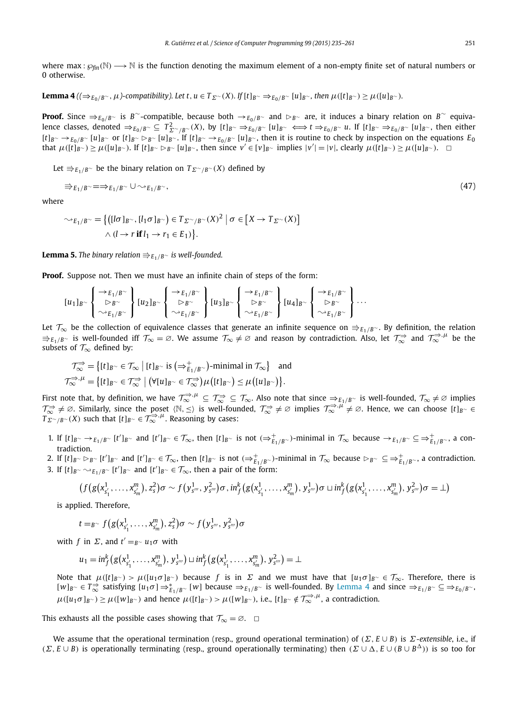where max :  $\wp_{fin}(\mathbb{N}) \longrightarrow \mathbb{N}$  is the function denoting the maximum element of a non-empty finite set of natural numbers or 0 otherwise.

**Lemma 4** ( $(\Rightarrow_{E_0/B^{\sim}}, \mu)$ -compatibility). Let t,  $u \in T_{\Sigma^{\sim}}(X)$ . If  $[t]_{B^{\sim}} \Rightarrow_{E_0/B^{\sim}} [u]_{B^{\sim}}$ , then  $\mu([t]_{B^{\sim}}) \geq \mu([u]_{B^{\sim}})$ .

**Proof.** Since ⇒<sub>*E*0</sub>/*B*∼ is *B*∼-compatible, because both →*E*<sub>0</sub>/*B*∼ and ⊳*B*∼ are, it induces a binary relation on *B*<sup>∼</sup> equivalence classes, denoted  $\Rightarrow_{E_0/B^{\sim}}\ \subseteq\ T^2_{\varSigma^\sim/B^\sim}(X)$ , by  $[t]_{B^\sim}\ \Rightarrow_{E_0/B^\sim}\ [u]_{B^\sim}\ \Longleftrightarrow t\Rightarrow_{E_0/B^\sim}u.$  If  $[t]_{B^\sim}\Rightarrow_{E_0/B^\sim}\ [u]_{B^\sim}$ , then either  $[t]_{B} \rightarrow E_0/B \sim [u]_{B}$  or  $[t]_{B} \sim B \sim [u]_{B} \sim [u]_{B}$ . If  $[t]_{B} \rightarrow E_0/B \sim [u]_{B} \sim$ , then it is routine to check by inspection on the equations  $E_0$ that  $\mu([t]_{B} \sim) \ge \mu([u]_{B} \sim)$ . If  $[t]_{B} \sim \rhd_{B} \sim [u]_{B} \sim$ , then since  $v' \in [v]_{B} \sim$  implies  $|v'| = |v|$ , clearly  $\mu([t]_{B} \sim) \ge \mu([u]_{B} \sim)$ .  $\Box$ 

Let -*<sup>E</sup>*1*/B*<sup>∼</sup> be the binary relation on *TΣ*∼*/B*<sup>∼</sup> *(X)* defined by

$$
\Rightarrow_{E_1/B^{\sim}} \Rightarrow_{E_1/B^{\sim}} \cup \rightsquigarrow_{E_1/B^{\sim}},\tag{47}
$$

where

$$
\sim_{E_1/B^{\sim}} = \left\{ \left( [I\sigma]_{B^{\sim}}, [I_1\sigma]_{B^{\sim}} \right) \in T_{\Sigma^{\sim}/B^{\sim}}(X)^2 \mid \sigma \in [X \to T_{\Sigma^{\sim}}(X)] \right\}
$$

$$
\wedge (I \to r \text{ if } I_1 \to r_1 \in E_1) \right\}.
$$

 $\mu$  **Lemma 5.** The binary relation  $\Rightarrow$   $_{E_1/B}$ ~ is well-founded.

**Proof.** Suppose not. Then we must have an infinite chain of steps of the form:

$$
[u_1]_{B} \sim\n\begin{Bmatrix}\n\rightarrow_{E_1/B^{\sim}} \\
\rightarrow_{B^{\sim}} \\
\sim_{E_1/B^{\sim}}\n\end{Bmatrix}\n\begin{Bmatrix}\n u_2\vert_{B^{\sim}}\n\begin{Bmatrix}\n\rightarrow_{E_1/B^{\sim}} \\
\nabla_{B^{\sim}} \\
\sim_{E_1/B^{\sim}}\n\end{Bmatrix}\n\begin{Bmatrix}\n u_3\vert_{B^{\sim}}\n\begin{Bmatrix}\n\rightarrow_{E_1/B^{\sim}} \\
\nabla_{B^{\sim}} \\
\sim_{E_1/B^{\sim}}\n\end{Bmatrix}\n\begin{Bmatrix}\n u_4\vert_{B^{\sim}}\n\begin{Bmatrix}\n\rightarrow_{E_1/B^{\sim}} \\
\nabla_{B^{\sim}} \\
\sim_{E_1/B^{\sim}}\n\end{Bmatrix}\n\end{Bmatrix} \cdots
$$

Let T<sup>∞</sup> be the collection of equivalence classes that generate an infinite sequence on -*<sup>E</sup>*<sup>1</sup> */B*<sup>∼</sup> . By definition, the relation  $\Rightarrow$   $E_1/B$ ∼ is well-founded iff  $\mathcal{T}_{\infty} = \emptyset$ . We assume  $\mathcal{T}_{\infty} \neq \emptyset$  and reason by contradiction. Also, let  $\mathcal{T}_{\infty}^{\Rightarrow}$  and  $\mathcal{T}_{\infty}^{\Rightarrow,\mu}$  be the subsets of  $\mathcal{T}_{\infty}$  defined by:

$$
\mathcal{T}_{\infty}^{\Rightarrow} = \left\{ [t]_{B^{\sim}} \in \mathcal{T}_{\infty} \mid [t]_{B^{\sim}} \text{ is } (\Rightarrow_{E_1/B^{\sim}}^+)- \text{minimal in } \mathcal{T}_{\infty} \right\} \text{ and}
$$

$$
\mathcal{T}_{\infty}^{\Rightarrow,\mu} = \left\{ [t]_{B^{\sim}} \in \mathcal{T}_{\infty}^{\Rightarrow} \mid (\forall [u]_{B^{\sim}} \in \mathcal{T}_{\infty}^{\Rightarrow}) \mu([t]_{B^{\sim}}) \leq \mu([u]_{B^{\sim}}) \right\}.
$$

First note that, by definition, we have  $\mathcal{T}_{\infty}^{\Rightarrow,\mu} \subseteq \mathcal{T}_{\infty} \subseteq \mathcal{T}_{\infty}$ . Also note that since  $\Rightarrow_{E_1/B^{\sim}}$  is well-founded,  $\mathcal{T}_{\infty} \neq \varnothing$  implies  $\mathcal{T}_{\infty}^{\Rightarrow} \neq \emptyset$ . Similarly, since the poset  $\langle \mathbb{N}, \leq \rangle$  is well-founded,  $\mathcal{T}_{\infty}^{\Rightarrow} \neq \emptyset$  implies  $\mathcal{T}_{\infty}^{\Rightarrow, \mu'} \neq \emptyset$ . Hence, we can choose  $[t]_{B} \sim \infty$  $T$ *∑*∼*/B*∼  $(X)$  such that  $[t]$ *B*∼ ∈  $T_{\infty}^{\Rightarrow,\mu}$ . Reasoning by cases:

- 1. If  $[t]_{B} \rightarrow E_1/B \sim [t']_{B} \rightarrow$  and  $[t']_{B} \sim \in \mathcal{T}_{\infty}$ , then  $[t]_{B} \sim$  is not  $(\Rightarrow_{E_1/B}^+ \sim)$ -minimal in  $\mathcal{T}_{\infty}$  because  $\rightarrow_{E_1/B} \sim \subseteq \Rightarrow_{E_1/B}^+ \sim$ , a contradiction.
- 2. If  $[t]_{B} \sim b_{B} \sim [t']_{B} \sim$  and  $[t']_{B} \sim \in \mathcal{T}_{\infty}$ , then  $[t]_{B} \sim$  is not  $(\Rightarrow_{E_1/B}^+ \sim)$ -minimal in  $\mathcal{T}_{\infty}$  because  $b_{B} \sim \subseteq \Rightarrow_{E_1/B}^+ \sim$ , a contradiction. 3. If  $[t]_{B}$ ∼  $\sim$ <sub>*E*1</sub>/ $B$ ∼  $[t']_{B}$ ∼ and  $[t']_{B}$ ∼ ∈  $\mathcal{T}_{\infty}$ , then a pair of the form:

$$
(f(g(x_{s'_1}^1,\ldots,x_{s'_m}^m),z_s^2)\sigma \sim f(y_{s'''}^1,y_{s'''}^2)\sigma, \inf_{f}(g(x_{s'_1}^1,\ldots,x_{s'_m}^m),y_{s'''}^1)\sigma \sqcup \inf_{f}(g(x_{s'_1}^1,\ldots,x_{s'_m}^m),y_{s'''}^2)\sigma = \bot)
$$

is applied. Therefore,

$$
t =_{B^{\sim}} f(g(x_{s'_1}^1, \ldots, x_{s'_m}^m), z_s^2) \sigma \sim f(y_{s'''}^1, y_{s'''}^2) \sigma
$$

with *f* in *Σ*, and  $t' = B^\sim u_1 \sigma$  with

$$
u_1 = \inf_f (g(x_{s'_1}^1, \ldots, x_{s'_m}^m), y_{s''}^1) \sqcup \inf_f (g(x_{s'_1}^1, \ldots, x_{s'_m}^m), y_{s''}^2) = \bot
$$

Note that  $\mu([t]_{B} \sim) > \mu([u_1 \sigma]_{B} \sim)$  because f is in  $\Sigma$  and we must have that  $[u_1 \sigma]_{B} \sim \epsilon \mathcal{T}_{\infty}$ . Therefore, there is  $[w]_{B} \sim \epsilon T_{\infty}^{\Rightarrow}$  satisfying  $[u_1 \sigma] \Rightarrow_{E_1/B^{\sim}}^* [w]$  because  $\Rightarrow_{E_1/B^{\sim}}$  is well-founded. By Lemma 4 and since  $\Rightarrow_{E_1/B^{\sim}} \subseteq \Rightarrow_{E_0/B^{\sim}}$  $\mu([u_1\sigma]_{B}>) \ge \mu([w]_{B}>)$  and hence  $\mu([t]_{B}>) > \mu([w]_{B}>)$ , i.e.,  $[t]_{B} \notin \mathcal{T}_{\infty}^{\Rightarrow,\mu}$ , a contradiction.

This exhausts all the possible cases showing that  $\mathcal{T}_{\infty} = \emptyset$ .  $\Box$ 

We assume that the operational termination (resp., ground operational termination) of *(Σ, E* ∪ *B)* is *Σ-extensible*, i.e., if *(Σ, E* ∪ *B*) is operationally terminating (resp., ground operationally terminating) then  $(Σ ∪ Δ, E ∪ (B ∪ B^Δ))$  is so too for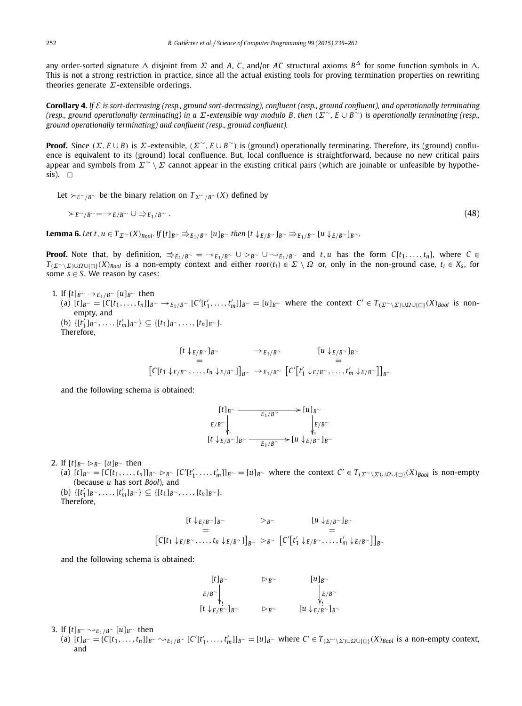<span id="page-17-0"></span>any order-sorted signature  $\Delta$  disjoint from  $\Sigma$  and A, C, and/or AC structural axioms  $B^{\Delta}$  for some function symbols in  $\Delta$ . This is not a strong restriction in practice, since all the actual existing tools for proving termination properties on rewriting theories generate *Σ*-extensible orderings.

**Corollary 4.** If  $\mathcal E$  is sort-decreasing (resp., ground sort-decreasing), confluent (resp., ground confluent), and operationally terminating (resp., ground operationally terminating) in a  $\Sigma$ -extensible way modulo B, then ( $\Sigma^{\sim}$ , E  $\cup$  B $^{\sim}$ ) is operationally terminating (resp., *ground operationally terminating) and confluent (resp., ground confluent).*

**Proof.** Since  $(\Sigma, E \cup B)$  is  $\Sigma$ -extensible,  $(\Sigma^{\sim}, E \cup B^{\sim})$  is (ground) operationally terminating. Therefore, its (ground) confluence is equivalent to its (ground) local confluence. But, local confluence is straightforward, because no new critical pairs appear and symbols from *Σ*<sup>∼</sup> \ *Σ* cannot appear in the existing critical pairs (which are joinable or unfeasible by hypothe $sis$ ).  $\Box$ 

Let  $\succ_{E^{\sim}/B^{\sim}}$  be the binary relation on  $T_{\Sigma^{\sim}/B^{\sim}}(X)$  defined by

$$
\succ_{E^{\sim}/B^{\sim}} = \rightarrow_{E/B^{\sim}} \cup \rightrightarrows_{E_1/B^{\sim}} . \tag{48}
$$

**Lemma 6.** Let  $t, u \in T_{\Sigma} \setminus (X)_{Bool}$ . If  $[t]_{B} \sim \exists \varepsilon_{1/B} \setminus [u]_{B} \setminus$  then  $[t \downarrow_{E/B} \setminus ]_{B} \setminus \exists \varepsilon_{1/B} \setminus [u \downarrow_{E/B} \setminus ]_{B} \setminus$ .

**Proof.** Note that, by definition,  $\Rightarrow E_1/B^{\sim} = \rightarrow E_1/B^{\sim} \cup \rightarrow B^{\sim} \cup \rightarrow E_1/B^{\sim}$  and t, u has the form  $C[t_1, \ldots, t_n]$ , where  $C \in \mathbb{C}$  $T_{(\Sigma \cap \Sigma) \cup \Omega \cup \{[\cap]\}}(X)_{Bool}$  is a non-empty context and either root(t<sub>i</sub>)  $\in \Sigma \setminus \Omega$  or, only in the non-ground case,  $t_i \in X_s$ , for some  $s \in S$ . We reason by cases:

- 1. If  $[t]_{B^{\sim}}$  →  $E_1/B^{\sim}}$   $[u]_{B^{\sim}}$  then
- (a)  $[t]_{B} \sim \frac{1}{2} [C[t_1,\ldots,t_n]]_{B} \sim \rightarrow E_1/B \sim [C'[t'_1,\ldots,t'_m]]_{B} \sim [u]_{B} \sim$  where the context  $C' \in T_{(\Sigma \sim \setminus \Sigma) \cup \Omega \cup {\{\square\}}}(X)_{Bool}$  is nonempty, and  $(t) \{[t'_1]_{B}^{\sim}, \ldots, [t'_m]_{B}^{\sim}\} \subseteq \{[t_1]_{B}^{\sim}, \ldots, [t_n]_{B}^{\sim}\}.$ Therefore,

[*t* ↓*E/B*<sup>∼</sup> ]*B*<sup>∼</sup> →*<sup>E</sup>*1*/B*<sup>∼</sup> [*u* ↓*E/B*<sup>∼</sup> ]*B*<sup>∼</sup> = = *C*[*t*<sup>1</sup> ↓*E/B*<sup>∼</sup> *,...,tn* ↓*E/B*<sup>∼</sup> ] *<sup>B</sup>*<sup>∼</sup> →*<sup>E</sup>*1*/B*<sup>∼</sup> *C t* <sup>1</sup> <sup>↓</sup>*E/B*<sup>∼</sup> *,...,<sup>t</sup> <sup>m</sup>* ↓*E/B*<sup>∼</sup> *B*<sup>∼</sup>

and the following schema is obtained:

[*t*]*B*<sup>∼</sup> *<sup>E</sup>*1*/B*<sup>∼</sup> ! *E/B*<sup>∼</sup> [*u*]*B*<sup>∼</sup> ! *E/B*<sup>∼</sup> [*<sup>t</sup>* <sup>↓</sup>*E/B*<sup>∼</sup> ]*B*<sup>∼</sup> *<sup>E</sup>*1*/B*<sup>∼</sup> [*<sup>u</sup>* <sup>↓</sup>*E/B*<sup>∼</sup> ]*B*<sup>∼</sup>

2. If  $[t]_{B^{\sim}} \triangleright_{B^{\sim}} [u]_{B^{\sim}}$  then

- (a)  $[t]_{B} \sim [C[t_1,\ldots,t_n]]_{B} \sim \mathbb{R} \sim [C'[t'_1,\ldots,t'_m]]_{B} \sim [u]_{B} \sim$  where the context  $C' \in T_{(\Sigma \sim \setminus \Sigma) \cup \Omega \cup {\{\Box\}}}(X)_{Bool}$  is non-empty (because *u* has sort *Bool*), and
- $(t)$  { $[t'_1]_{B^{\sim}}, \ldots, [t'_m]_{B^{\sim}}$ }  $\subseteq$  { $[t_1]_{B^{\sim}}, \ldots, [t_n]_{B^{\sim}}$  }. Therefore,

$$
\begin{array}{ccc}\n[t \downarrow_{E/B^{\sim}}]_{B^{\sim}} & \triangleright_{B^{\sim}} & [u \downarrow_{E/B^{\sim}}]_{B^{\sim}} \\
= & = & = & \cdot \\
[C[t_1 \downarrow_{E/B^{\sim}}, \dots, t_n \downarrow_{E/B^{\sim}}]]_{B^{\sim}} & \triangleright_{B^{\sim}} & [C'[t'_1 \downarrow_{E/B^{\sim}}, \dots, t'_m \downarrow_{E/B^{\sim}}]]_{B^{\sim}}\n\end{array}
$$

and the following schema is obtained:

$$
\begin{array}{ccc}\n[t]_{B} & & & \triangleright_{B} \sim & & [u]_{B} \sim \\
E/B \sim & & & \downarrow \\
[t \downarrow E/B \sim]_{B} \sim & & & \triangleright_{B} \sim & [u \downarrow E/B \sim]_{B} \sim\n\end{array}
$$

3. If  $[t]_{B^{\sim}} \sim_{E_1/B^{\sim}} [u]_{B^{\sim}}$  then

(a)  $[t]_{B} \sim \frac{1}{2} [C[t_1,\ldots,t_n]]_{B} \sim \sim_{E_1/B} \sim [C'[t'_1,\ldots,t'_m]]_{B} \sim [u]_{B} \sim$  where  $C' \in T_{(\Sigma \sim \setminus \Sigma) \cup \Omega \cup \{ \Box \}}(X)_{Bool}$  is a non-empty context, and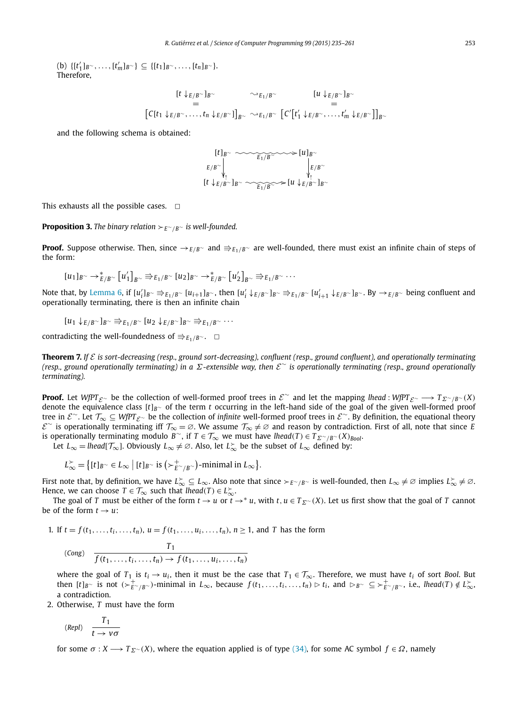<span id="page-18-0"></span> $(t) \{[t'_1]_{B^{\sim}}, \ldots, [t'_m]_{B^{\sim}}\} \subseteq \{[t_1]_{B^{\sim}}, \ldots, [t_n]_{B^{\sim}}\}.$ Therefore,

$$
\begin{array}{ccc}\n[t \downarrow_{E/B} \sim B \sim & \sim_{E_1/B} \sim & [u \downarrow_{E/B} \sim B \sim \\
= & = & = \\
[C[t_1 \downarrow_{E/B} \sim, \ldots, t_n \downarrow_{E/B} \sim]]_{B} \sim & \sim_{E_1/B} \sim & [C'[t'_1 \downarrow_{E/B} \sim, \ldots, t'_m \downarrow_{E/B} \sim]]_{B} \sim\n\end{array}
$$

and the following schema is obtained:



This exhausts all the possible cases.  $\Box$ 

**Proposition 3.** *The binary relation*  $\succ_{E^{\sim}/B^{\sim}}$  *is well-founded.* 

**Proof.** Suppose otherwise. Then, since →*E/B*<sup>∼</sup> and -*<sup>E</sup>*1*/B*<sup>∼</sup> are well-founded, there must exist an infinite chain of steps of the form:

$$
[u_1]_{B} \sim \to_{E/B}^* \sim [u'_1]_{B} \sim \exists \varepsilon_{1/B} \sim [u_2]_{B} \sim \to_{E/B}^* \sim [u'_2]_{B} \sim \exists \varepsilon_{1/B} \sim \cdots
$$

Note that, by [Lemma 6,](#page-17-0) if  $[u'_i]_{B} \sim \frac{1}{2} E_1/B \sim [u_{i+1}]_{B} \sim$ , then  $[u'_i \downarrow_{E/B} \sim]_{B} \sim \frac{1}{2} E_1/B \sim [u'_{i+1} \downarrow_{E/B} \sim]_{B} \sim$ . By  $\rightarrow$   $E/B \sim$  being confluent and operationally terminating, there is then an infinite chain

 $[u_1 \downarrow_{E/B} \sim \exists_{E_1/B} \sim [u_2 \downarrow_{E/B} \sim]_{B} \sim \exists_{E_1/B} \sim \cdots$ 

 $\Box$  contradicting the well-foundedness of  $\Rightarrow$   $_{E_1/B}$ ∼.  $\Box$ 

**Theorem 7.** If  $\mathcal E$  is sort-decreasing (resp., ground sort-decreasing), confluent (resp., ground confluent), and operationally terminating (resp., ground operationally terminating) in a  $\Sigma$ -extensible way, then  $\mathcal{E}^{\sim}$  is operationally terminating (resp., ground operationally *terminating).*

**Proof.** Let *WfPT*<sub> $\mathcal{E}^{\sim}$  be the collection of well-formed proof trees in  $\mathcal{E}^{\sim}$  and let the mapping *lhead* : *WfPT*<sub> $\mathcal{E}^{\sim}$  →  $T\mathcal{E}^{\sim}/B^{\sim}(X)$ </sub></sub> denote the equivalence class [*t*]*B*<sup>∼</sup> of the term *t* occurring in the left-hand side of the goal of the given well-formed proof tree in  $\mathcal{E}^{\sim}$ . Let  $\mathcal{T}_{\infty} \subseteq WfPT_{\mathcal{E}^{\sim}}$  be the collection of *infinite* well-formed proof trees in  $\mathcal{E}^{\sim}$ . By definition, the equational theory <sup>E</sup><sup>∼</sup> is operationally terminating iff <sup>T</sup><sup>∞</sup> <sup>=</sup> <sup>∅</sup>. We assume <sup>T</sup><sup>∞</sup> = <sup>∅</sup> and reason by contradiction. First of all, note that since *<sup>E</sup>* is operationally terminating modulo *B*<sup>∼</sup>, if *T* ∈  $\mathcal{T}_{\infty}$  we must have *lhead*(*T*) ∈  $T_{\Sigma^{\sim}/B^{\sim}}(X)_{Bool}$ .

Let  $L_{\infty} =$  *lhead*[ $\mathcal{T}_{\infty}$ ]. Obviously  $L_{\infty} \neq \varnothing$ . Also, let  $L_{\infty}^>$  be the subset of  $L_{\infty}$  defined by:

$$
L_{\infty}^{\succ} = \big\{ [t]_{B^{\sim}} \in L_{\infty} \mid [t]_{B^{\sim}} \text{ is } \big(\succ_{E^{\sim}/B^{\sim}}^{\mathcal{+}}\big)\text{-minimal in } L_{\infty} \big\}.
$$

First note that, by definition, we have  $L_\infty^> \subseteq L_\infty$ . Also note that since ≻<sub>E</sub>∼<sub>/B</sub>∼ is well-founded, then  $L_\infty\neq\varnothing$  implies  $L_\infty^> \neq \varnothing$ . Hence, we can choose  $T \in \mathcal{T}_{\infty}$  such that *lhead* $(T) \in L_{\infty}^{\succ}$ .

The goal of *T* must be either of the form  $t \to u$  or  $\tilde{t} \to^* u$ , with  $t, u \in T_{\Sigma} \sim (X)$ . Let us first show that the goal of *T* cannot be of the form  $t \rightarrow u$ :

1. If  $t = f(t_1, \ldots, t_i, \ldots, t_n)$ ,  $u = f(t_1, \ldots, u_i, \ldots, t_n)$ ,  $n > 1$ , and *T* has the form

$$
\text{(Cong)} \quad \frac{T_1}{f(t_1,\ldots,t_i,\ldots,t_n) \to f(t_1,\ldots,u_i,\ldots,t_n)}
$$

where the goal of  $T_1$  is  $t_i \to u_i$ , then it must be the case that  $T_1 \in \mathcal{T}_{\infty}$ . Therefore, we must have  $t_i$  of sort *Bool*. But then  $[t]_{B}$  is not  $(\succ_{E^-/B^-}^+)$ -minimal in  $L_\infty$ , because  $f(t_1,\ldots,t_i,\ldots,t_n) \triangleright t_i$ , and  $\rhd_{B^-} \subseteq \succ_{E^-/B^-}^+$ , i.e., lhead(T)  $\notin L_\infty^+$ . a contradiction.

2. Otherwise, *T* must have the form

$$
(\text{Repl}) \quad \frac{T_1}{t \to \nu \sigma}
$$

for some  $\sigma : X \longrightarrow T_{\Sigma} \sim (X)$ , where the equation applied is of type [\(34\),](#page-12-0) for some AC symbol  $f \in \Omega$ , namely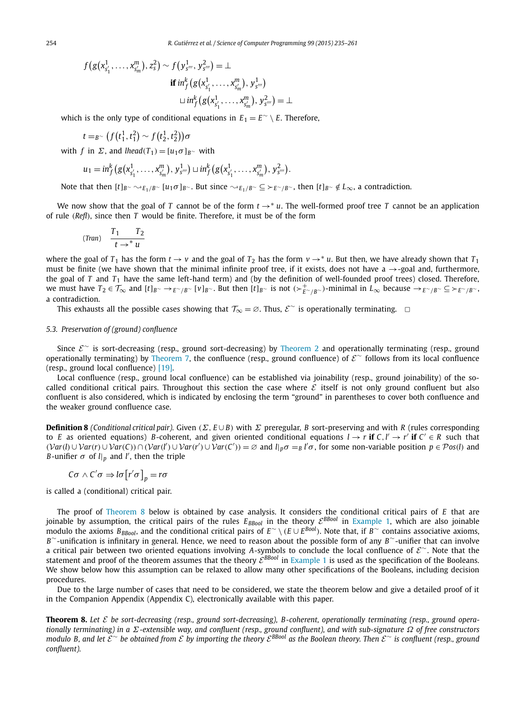= ⊥

<span id="page-19-0"></span>
$$
f(g(x_{s'_1}^1, \ldots, x_{s'_m}^m), z_s^2) \sim f(y_{s'''}^1, y_{s'''}^2) = \perp
$$
  
if  $inf_f (g(x_{s'_1}^1, \ldots, x_{s'_m}^m), y_{s''}^1)$   

$$
\perp inf_f (g(x_{s'_1}^1, \ldots, x_{s'_m}^m), y_{s''}^2) =
$$

which is the only type of conditional equations in  $E_1 = E^{\sim} \setminus E$ . Therefore,

$$
t =_{B} \sim (f(t_1^1, t_1^2) \sim f(t_2^1, t_2^2)) \sigma
$$

with *f* in *Σ*, and *lhead*( $T_1$ ) =  $[u_1 \sigma]_{B^{\sim}}$  with

$$
u_1 = \text{in}_f^k(g(x_{s'_1}^1, \ldots, x_{s'_m}^m), y_{s'''}^1) \sqcup \text{in}_f^k(g(x_{s'_1}^1, \ldots, x_{s'_m}^m), y_{s'''}^2).
$$

Note that then  $[t]_{B} \sim \sim_{E_1/B} \sim [u_1 \sigma]_{B} \sim$ . But since  $\sim_{E_1/B} \sim \frac{C}{\epsilon} \succ_{E} \sim_{B} \sim$ , then  $[t]_{B} \sim \frac{C}{\epsilon} L_{\infty}$ , a contradiction.

We now show that the goal of *T* cannot be of the form  $t \rightarrow^* u$ . The well-formed proof tree *T* cannot be an application of rule *(Refl)*, since then *T* would be finite. Therefore, it must be of the form

$$
(Tran) \quad \frac{T_1}{t \to^* u}
$$

where the goal of  $T_1$  has the form  $t \to v$  and the goal of  $T_2$  has the form  $v \to^* u$ . But then, we have already shown that  $T_1$ must be finite (we have shown that the minimal infinite proof tree, if it exists, does not have a  $\rightarrow$ -goal and, furthermore, the goal of *T* and *T*<sup>1</sup> have the same left-hand term) and (by the definition of well-founded proof trees) closed. Therefore, we must have  $T_2 \in \mathcal{T}_{\infty}$  and  $[t]_{B} \rightarrow E^{\sim}/B^{\sim}$  [*v*]<sub>B</sub> $\sim$ . But then [*t*]<sub>B</sub> $\sim$  is not ( $\succ_{E^{\sim}/B^{\sim}}^{+}$ )-minimal in  $L_{\infty}$  because  $\rightarrow_{E^{\sim}/B^{\sim}} \subseteq \succ_{E^{\sim}/B^{\sim}}$ . a contradiction.

This exhausts all the possible cases showing that  $\mathcal{T}_{\infty} = \emptyset$ . Thus,  $\mathcal{E}^{\sim}$  is operationally terminating.  $\Box$ 

# *5.3. Preservation of (ground) confluence*

Since  $\mathcal{E}^{\sim}$  is sort-decreasing (resp., ground sort-decreasing) by [Theorem 2](#page-14-0) and operationally terminating (resp., ground operationally terminating) by [Theorem 7,](#page-18-0) the confluence (resp., ground confluence) of  $\mathcal{E}^{\sim}$  follows from its local confluence (resp., ground local confluence) [\[19\].](#page-26-0)

Local confluence (resp., ground local confluence) can be established via joinability (resp., ground joinability) of the socalled conditional critical pairs. Throughout this section the case where  $\mathcal E$  itself is not only ground confluent but also confluent is also considered, which is indicated by enclosing the term "ground" in parentheses to cover both confluence and the weaker ground confluence case.

**Definition 8** *(Conditional critical pair).* Given  $(\Sigma, E \cup B)$  with  $\Sigma$  preregular, *B* sort-preserving and with *R* (rules corresponding to *E* as oriented equations) *B*-coherent, and given oriented conditional equations  $l \to r$  **if**  $C, l' \to r'$  **if**  $C' \in R$  such that  $(Var(l) \cup Var(r) \cup Var(C)) \cap (Var(l') \cup Var(r') \cup Var(C')) = \varnothing$  and  $l|_p \sigma =_B l' \sigma$ , for some non-variable position  $p \in Pos(l)$  and *B*-unifier  $\sigma$  of  $l|_p$  and *l'*, then the triple

$$
C\sigma \wedge C'\sigma \Rightarrow l\sigma[r'\sigma]_p = r\sigma
$$

is called a (conditional) critical pair.

The proof of Theorem 8 below is obtained by case analysis. It considers the conditional critical pairs of *E* that are joinable by assumption, the critical pairs of the rules  $E_{BBool}$  in the theory  $\mathcal{E}^{BBool}$  in [Example 1,](#page-6-0) which are also joinable modulo the axioms *BBBool*, and the conditional critical pairs of *<sup>E</sup>*<sup>∼</sup> \ *(<sup>E</sup>* ∪ *<sup>E</sup>Bool)*. Note that, if *<sup>B</sup>*<sup>∼</sup> contains associative axioms, *B*∼-unification is infinitary in general. Hence, we need to reason about the possible form of any *B*∼-unifier that can involve <sup>a</sup> critical pair between two oriented equations involving *<sup>A</sup>*-symbols to conclude the local confluence of <sup>E</sup>∼. Note that the statement and proof of the theorem assumes that the theory  $\mathcal{E}^{BBool}$  in [Example 1](#page-6-0) is used as the specification of the Booleans. We show below how this assumption can be relaxed to allow many other specifications of the Booleans, including decision procedures.

Due to the large number of cases that need to be considered, we state the theorem below and give a detailed proof of it in the Companion Appendix (Appendix C), electronically available with this paper.

**Theorem 8.** Let  $\mathcal E$  be sort-decreasing (resp., ground sort-decreasing), B-coherent, operationally terminating (resp., ground operationally terminating) in a  $\Sigma$ -extensible way, and confluent (resp., ground confluent), and with sub-signature  $\Omega$  of free constructors modulo B, and let  $\mathcal{E}^{\sim}$  be obtained from  $\mathcal{E}$  by importing the theory  $\mathcal{E}^{BBool}$  as the Boolean theory. Then  $\mathcal{E}^{\sim}$  is confluent (resp., ground *confluent).*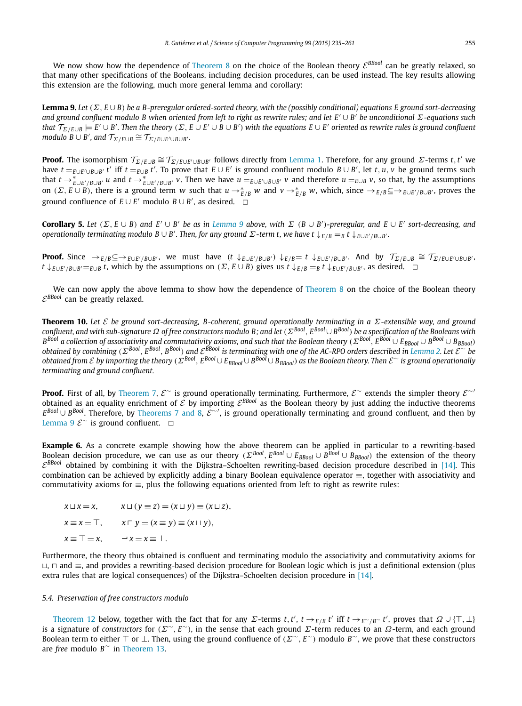We now show how the dependence of [Theorem 8](#page-19-0) on the choice of the Boolean theory  $\mathcal{E}^{BBool}$  can be greatly relaxed, so that many other specifications of the Booleans, including decision procedures, can be used instead. The key results allowing this extension are the following, much more general lemma and corollary:

**Lemma 9.** Let  $(\Sigma, E \cup B)$  be a B-preregular ordered-sorted theory, with the (possibly conditional) equations E ground sort-decreasing and ground confluent modulo B when oriented from left to right as rewrite rules: and let  $E' \cup B'$  be unconditional  $\Sigma$ -equations such that  $\mathcal{T}_{\Sigma/E\cup B} \models E'\cup B'.$  Then the theory  $(\Sigma, E\cup E'\cup B\cup B')$  with the equations  $E\cup E'$  oriented as rewrite rules is ground confluent  $\textit{modulo} \text{ } B \cup B', \text{ and } \mathcal{T}_{\mathcal{Z}/E \cup B} \cong \mathcal{T}_{\mathcal{Z}/E \cup E' \cup B \cup B'}.$ 

**Proof.** The isomorphism  $\mathcal{T}_{\Sigma/E\cup B} \cong \mathcal{T}_{\Sigma/E\cup E'\cup B\cup B'}$  follows directly from [Lemma 1.](#page-5-0) Therefore, for any ground *Σ*-terms *t*, *t'* we have  $t=_{E\cup E'\cup B\cup B'}t'$  iff  $t=_{E\cup B}t'.$  To prove that  $E\cup E'$  is ground confluent modulo  $B\cup B',$  let  $t,u,v$  be ground terms such that  $t\to_{E\cup E'/B\cup B'}^* u$  and  $t\to_{E\cup E'/B\cup B'}^* v$ . Then we have  $u=_{E\cup E'\cup B\cup B'} v$  and therefore  $u=_{E\cup B} v$ , so that, by the assumptions on  $(\Sigma, E \cup B)$ , there is a ground term w such that  $u \to_{E/B}^* w$  and  $v \to_{E/B}^* w$ , which, since  $\to_{E/B} \subseteq \to_{E \cup E'/B \cup B'}$ , proves the ground confluence of  $E \cup E'$  modulo  $B \cup B'$ , as desired.  $\Box$ 

**Corollary 5.** Let  $(\Sigma, E \cup B)$  and  $E' \cup B'$  be as in Lemma 9 above, with  $\Sigma$  ( $B \cup B'$ )-preregular, and  $E \cup E'$  sort-decreasing, and operationally terminating modulo B  $\cup$  B'. Then, for any ground  $\Sigma$ -term t, we have t  $\downarrow_{E/B}=_B t \downarrow_{E\cup E'/B\cup B'}$ .

**Proof.** Since  $\rightarrow_{E/B} \subseteq \rightarrow_{E\cup E'/B\cup B'}$ , we must have  $(t \downarrow_{E\cup E'/B\cup B'}) \downarrow_{E/B} = t \downarrow_{E\cup E'/B\cup B'}$ . And by  $\mathcal{T}_{\Sigma/E\cup B} \cong \mathcal{T}_{\Sigma/E\cup E'\cup B\cup B'}$  $t\downarrow_{E\cup E'/B\cup B'}=E\cup B$  t, which by the assumptions on  $(\Sigma, E\cup B)$  gives us  $t\downarrow_{E/B}=B$   $t\downarrow_{E\cup E'/B\cup B'}$ , as desired.  $\Box$ 

We can now apply the above lemma to show how the dependence of [Theorem 8](#page-19-0) on the choice of the Boolean theory  $\mathcal{E}^{BBool}$  can be greatly relaxed.

**Theorem 10.** Let  $\mathcal E$  be ground sort-decreasing, B-coherent, ground operationally terminating in a  $\Sigma$ -extensible way, and ground confluent, and with sub-signature  $\Omega$  of free constructors modulo B; and let ( $\Sigma^{Bool}$ ,  $E^{Bool} \cup B^{Bool}$ ) be a specification of the Booleans with  $B^{Bool}$  a collection of associativity and commutativity axioms, and such that the Boolean theory (  $\Sigma^{Bool}$  ,  $E^{Bool} \cup E_{BBool} \cup B^{Bool} \cup B_{BBool}$ obtained by combining ( $\Sigma^{Bool}$ ,  $E^{Bool}$ ,  $B^{Bool}$ ) and  ${\mathcal{E}}^{BBOol}$  is terminating with one of the AC-RPO orders described in [Lemma 2.](#page-15-0) Let  ${\mathcal{E}}^{\sim}$  be obtained from  $\mathcal E$  by importing the theory ( $\Sigma^{Bool}$ ,  $E^{Bool} \cup E_{RRool} \cup B^{Bool} \cup B_{RRool}$ ) as the Boolean theory. Then  $\mathcal E^{\sim}$  is ground operationally *terminating and ground confluent.*

**Proof.** First of all, by [Theorem 7,](#page-18-0)  $\mathcal{E}^{\sim}$  is ground operationally terminating. Furthermore,  $\mathcal{E}^{\sim}$  extends the simpler theory  $\mathcal{E}^{\sim}$ obtained as an equality enrichment of  $\mathcal E$  by importing  $\mathcal E^{BBool}$  as the Boolean theory by just adding the inductive theorems *E*<sup>Bool</sup> ∪ *B*<sup>Bool</sup>. Therefore, by [Theorems 7 and](#page-18-0) 8,  $\mathcal{E}^{\sim}$ ', is ground operationally terminating and ground confluent, and then by Lemma 9  $\mathcal{E}^{\sim}$  is ground confluent.  $□$ 

**Example 6.** As a concrete example showing how the above theorem can be applied in particular to a rewriting-based Boolean decision procedure, we can use as our theory  $(\Sigma^{Bool}, E^{Bool} \cup E_{BBool} \cup B^{Bool} \cup B_{BBool})$  the extension of the theory  $\mathcal{E}^{BBool}$  obtained by combining it with the Dijkstra–Schoelten rewriting-based decision procedure described in [\[14\].](#page-25-0) This combination can be achieved by explicitly adding a binary Boolean equivalence operator ≡, together with associativity and commutativity axioms for ≡, plus the following equations oriented from left to right as rewrite rules:

 $x \sqcup x = x$ ,  $x \sqcup (y \equiv z) = (x \sqcup y) \equiv (x \sqcup z)$ ,  $x \equiv x = \top$ ,  $x \sqcap y = (x \equiv y) \equiv (x \sqcup y)$ ,  $x \equiv \top = x$ ,  $\rightarrow x = x \equiv \bot$ .

Furthermore, the theory thus obtained is confluent and terminating modulo the associativity and commutativity axioms for ∟,  $\Box$ ,  $\Box$  and  $\equiv$ , and provides a rewriting-based decision procedure for Boolean logic which is just a definitional extension (plus extra rules that are logical consequences) of the Dijkstra–Schoelten decision procedure in [\[14\].](#page-25-0)

# *5.4. Preservation of free constructors modulo*

[Theorem 12](#page-21-0) below, together with the fact that for any  $\Sigma$ -terms t, t', t  $\to_{E/B}$  t' iff  $t\to_{E^\sim/B^\sim}$  t', proves that  $\Omega\cup\{\top,\bot\}$ is a signature of *constructors* for *(Σ*∼*, E*∼*)*, in the sense that each ground *Σ*-term reduces to an *Ω*-term, and each ground Boolean term to either  $\top$  or ⊥. Then, using the ground confluence of ( $Σ^{\sim}, E^{\sim}$ ) modulo  $B^{\sim}$ , we prove that these constructors are *free* modulo *B*<sup>∼</sup> in [Theorem 13.](#page-22-0)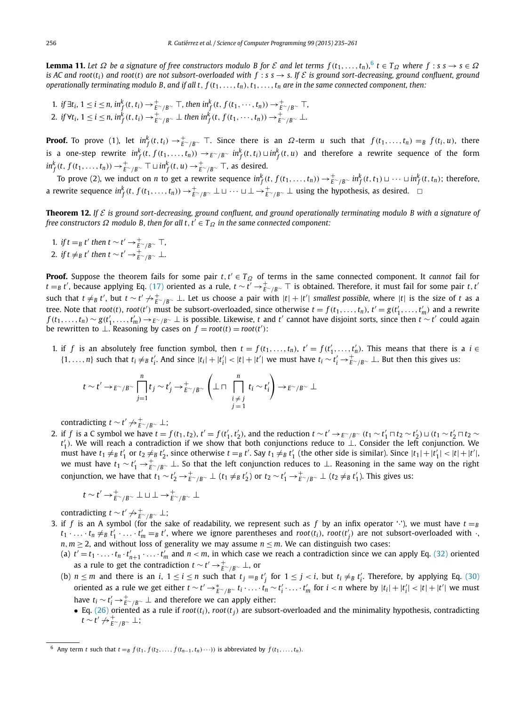<span id="page-21-0"></span>**Lemma 11.** Let  $\Omega$  be a signature of free constructors modulo B for  $\mathcal E$  and let terms  $f(t_1,\ldots,t_n)$ ,  $f \in T_{\Omega}$  where  $f : s \to s \in \Omega$ is AC and root( $t_i$ ) and root( $t$ ) are not subsort-overloaded with  $f : s \rightarrow s$ . If  $\mathcal E$  is ground sort-decreasing, ground confluent, ground operationally terminating modulo B, and if all t,  $f(t_1,\ldots,t_n), t_1,\ldots,t_n$  are in the same connected component, then:

1. if  $\exists t_i$ ,  $1 \leq i \leq n$ ,  $\inf_f^k(t, t_i) \to_{E^\sim/B^\sim}^+ \top$ , then  $\inf_f^k(t, f(t_1, \dots, t_n)) \to_{E^\sim/B^\sim}^+ \top$ , 2. if  $\forall t_i$ ,  $1 \leq i \leq n$ ,  $in_f^k(t, t_i) \rightarrow_{E^{\sim}/B^{\sim}}^{\pm}$   $\perp$  then  $in_f^k(t, f(t_1, \dots, t_n)) \rightarrow_{E^{\sim}/B^{\sim}}^{\pm}$   $\perp$ .

**Proof.** To prove (1), let  $in_f^k(t, t_i) \to_{E^-/B^-}^+$  T. Since there is an  $\Omega$ -term u such that  $f(t_1, \ldots, t_n) =_B f(t_i, u)$ , there is a one-step rewrite  $in_f^k(t, f(t_1,...,t_n)) \to_{E^{\sim}/B^{\sim}} in_f^k(t,t_i) \sqcup in_f^k(t,u)$  and therefore a rewrite sequence of the form  $\inf_{f}^k(t, f(t_1, \ldots, t_n)) \to_{E^{\sim}/B^{\sim}}^+ \top \sqcup \inf_{f}^k(t, u) \to_{E^{\sim}/B^{\sim}}^+ \top$ , as desired.

To prove (2), we induct on  $n$  to get a rewrite sequence  $\text{in}_f^k(t,f(t_1,\ldots,t_n))\to_{E^\sim/B^\sim}^+\text{in}_f^k(t,t_1)\sqcup\cdots\sqcup\text{in}_f^k(t,t_n);$  therefore, a rewrite sequence  $in_f^k(t, f(t_1,...,t_n)) \to_{E^{\sim}/B^{\sim}}^{\to} \bot \cup \cdots \bot \bot \to_{E^{\sim}/B^{\sim}}^{\to} \bot$  using the hypothesis, as desired.  $\Box$ 

**Theorem 12.** If  $\mathcal E$  is ground sort-decreasing, ground confluent, and ground operationally terminating modulo B with a signature of *free constructors*  $\Omega$  *modulo B, then for all*  $t, t' \in T_{\Omega}$  *in the same connected component:* 

- 1. *if*  $t = B$  *t' then*  $t \sim t' \rightarrow \frac{t}{E} \sim_{\frac{1}{B} \sim} T$ ,
- 2. *if t* ≠ *B t*<sup> $\prime$ </sup> *then t* ∼ *t*<sup> $\prime$ </sup> →  $\frac{+}{E^{\sim}/B^{\sim}}$  ⊥*.*

**Proof.** Suppose the theorem fails for some pair  $t, t' \in T_{\Omega}$  of terms in the same connected component. It *cannot* fail for *t* =*B t'*, because applying Eq. [\(17\)](#page-8-0) oriented as a rule,  $t \sim t' \to \frac{t}{E} ∼ B ∼$  T is obtained. Therefore, it must fail for some pair *t*, *t'* such that  $t \neq_B t'$ , but  $t \sim t' \not\rightarrow_{E^-/B^-}^+ \bot$ . Let us choose a pair with  $|t| + |t'|$  smallest possible, where  $|t|$  is the size of t as a tree. Note that  $root(t)$ ,  $root(t')$  must be subsort-overloaded, since otherwise  $t = f(t_1,...,t_n)$ ,  $t' = g(t'_1,...,t'_m)$  and a rewrite  $f(t_1,\ldots,t_n)\sim g(t'_1,\ldots,t'_m)\to_{E^\sim/B^\sim}\bot$  is possible. Likewise, t and t' cannot have disjoint sorts, since then  $t\sim t'$  could again be rewritten to  $\bot$ . Reasoning by cases on  $f = root(t) = root(t')$ :

1. if f is an absolutely free function symbol, then  $t = f(t_1,...,t_n)$ ,  $t' = f(t'_1,...,t'_n)$ . This means that there is a  $i \in$  $\{1,\ldots,n\}$  such that  $t_i\neq_B t'_i$ . And since  $|t_i|+|t'_i|<|t|+|t'|$  we must have  $t_i\sim t'_i\rightarrow_{E\sim/B\sim}^+ \perp$ . But then this gives us:

$$
t \sim t' \rightarrow_{E^{\sim}/B^{\sim}} \prod_{j=1}^{n} t_j \sim t'_j \rightarrow_{E^{\sim}/B^{\sim}}^{+} \left( \perp \cap \prod_{\substack{i \neq j \\ j \neq 1}}^{n} t_i \sim t'_i \right) \rightarrow_{E^{\sim}/B^{\sim}} \perp
$$

 $\text{contradicting } t \sim t' \not\rightarrow \,^{\text{+}}_{E^{\sim}/B^{\sim}} \perp;$ 

2. if f is a C symbol we have  $t = f(t_1, t_2)$ ,  $t' = f(t'_1, t'_2)$ , and the reduction  $t \sim t' \rightarrow_{E \sim / B \sim} (t_1 \sim t'_1 \cap t_2 \sim t'_2) \sqcup (t_1 \sim t'_2 \cap t_2 \sim t'_1 \cap t'_2)$ *t*<sup>1</sup><sub>1</sub>). We will reach a contradiction if we show that both conjunctions reduce to ⊥. Consider the left conjunction. We must have  $t_1 \neq_B t'_1$  or  $t_2 \neq_B t'_2$ , since otherwise  $t =_B t'$ . Say  $t_1 \neq_B t'_1$  (the other side is similar). Since  $|t_1| + |t'_1| < |t| + |t'|$ , we must have  $t_1 \sim t'_1 \to_{E^-/B^-}^+ \bot$ . So that the left conjunction reduces to  $\bot$ . Reasoning in the same way on the right conjunction, we have that  $t_1 \sim t'_2 \to_{E^-/B^-}^+ \bot$  ( $t_1 \neq_B t'_2$ ) or  $t_2 \sim t'_1 \to_{E^-/B^-}^+ \bot$  ( $t_2 \neq_B t'_1$ ). This gives us:

$$
t \sim t' \rightarrow_{E^{\sim}/B^{\sim}}^+ \perp \sqcup \perp \rightarrow_{E^{\sim}/B^{\sim}}^+ \perp
$$

 $\text{contradicting } t \sim t' \not\rightarrow \,^{\text{+}}_{E^{\sim}/B^{\sim}} \perp;$ 

- 3. if *f* is an A symbol (for the sake of readability, we represent such as *f* by an infix operator '·'), we must have  $t = B$  $t_1 \cdot \ldots \cdot t_n \neq_B t'_1 \cdot \ldots \cdot t'_m =_B t'$ , where we ignore parentheses and  $root(t_i)$ ,  $root(t'_j)$  are not subsort-overloaded with  $\cdot$ *n*,  $m \geq 2$ , and without loss of generality we may assume  $n \leq m$ . We can distinguish two cases:
	- (a)  $t' = t_1 \cdot \ldots \cdot t_n \cdot t'_{n+1} \cdot \ldots \cdot t'_m$  and  $n < m$ , in which case we reach a contradiction since we can apply Eq. [\(32\)](#page-10-0) oriented as a rule to get the contradiction  $t \sim t' \rightarrow_{E^{\sim}/B^{\sim}}^{\infty} \perp$ , or
	- (b)  $n \le m$  and there is an i,  $1 \le i \le n$  such that  $t_j =_B t'_j$  for  $1 \le j < i$ , but  $t_i \ne B t'_i$ . Therefore, by applying Eq. [\(30\)](#page-10-0) oriented as a rule we get either  $t \sim t' \to_{E^\sim/B^\sim}^* t_i \cdot \ldots \cdot t_n \sim t'_i \cdot \ldots \cdot t'_m$  for  $i < n$  where by  $|t_i| + |t'_i| < |t| + |t'|$  we must have  $t_i \sim t'_i \rightarrow_{E^{\sim}/B^{\sim}}^{\pm}$   $\bot$  and therefore we can apply either:
		- Eq. [\(26\)](#page-10-0) oriented as a rule if  $root(t_i)$ ,  $root(t_j)$  are subsort-overloaded and the minimality hypothesis, contradicting  $t \sim t' \nrightarrow t^+$ <sub>*E∼*/*B*∼ ⊥;</sub>

<sup>&</sup>lt;sup>6</sup> Any term t such that  $t =_{B} f(t_1, f(t_2, ..., f(t_{n-1}, t_n) \cdots))$  is abbreviated by  $f(t_1, ..., t_n)$ .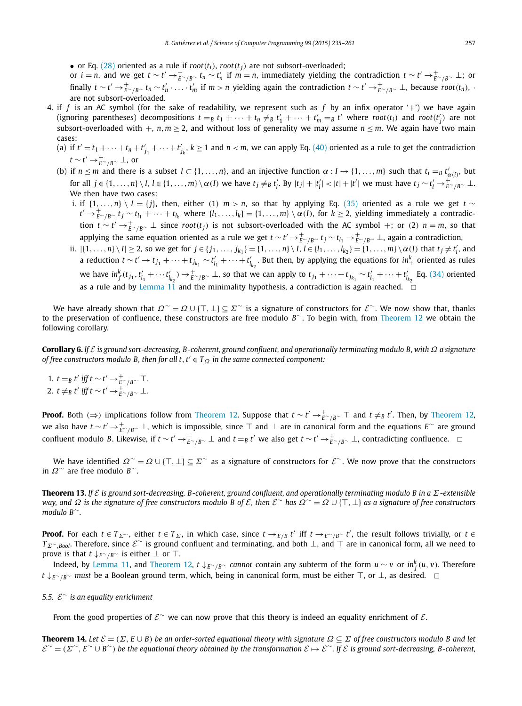<span id="page-22-0"></span>• or Eq. [\(28\)](#page-10-0) oriented as a rule if  $root(t_i)$ ,  $root(t_j)$  are not subsort-overloaded;

or  $i = n$ , and we get  $t \sim t' \rightarrow_{E^-/ B^-}^+ t_n \sim t'_n$  if  $m = n$ , immediately yielding the contradiction  $t \sim t' \rightarrow_{E^-/ B^-}^+ \bot$ ; or finally  $t \sim t' \to_{E^-/ B^-}^+ t_n \sim t'_n \cdot \ldots \cdot t'_m$  if  $m > n$  yielding again the contradiction  $t \sim t' \to_{E^-/ B^-}^+ \perp$ , because  $root(t_n)$ ,  $\cdot$ are not subsort-overloaded.

- 4. if  $f$  is an AC symbol (for the sake of readability, we represent such as  $f$  by an infix operator '+') we have again (ignoring parentheses) decompositions  $t =_B t_1 + \cdots + t_n \neq_B t'_1 + \cdots + t'_m =_B t'$  where  $root(t_i)$  and  $root(t'_j)$  are not subsort-overloaded with  $+$ ,  $n, m \geq 2$ , and without loss of generality we may assume  $n \leq m$ . We again have two main cases:
	- (a) if  $t' = t_1 + \cdots + t_n + t'_{j_1} + \cdots + t'_{j_k}$ ,  $k \ge 1$  and  $n < m$ , we can apply Eq. [\(40\)](#page-12-0) oriented as a rule to get the contradiction *t* ∼ *t'* →  $_{E^{\sim}/B^{\sim}}^+$  ⊥, or
	- (b) if  $n \le m$  and there is a subset  $I \subset \{1, ..., n\}$ , and an injective function  $\alpha : I \to \{1, ..., m\}$  such that  $t_i = B t'_{\alpha(i)}$ , but for all  $j \in \{1, \ldots, n\} \setminus I$ ,  $l \in \{1, \ldots, m\} \setminus \alpha(I)$  we have  $t_j \neq_B t'_l$ . By  $|t_j| + |t'_l| < |t| + |t'|$  we must have  $t_j \sim t'_l \rightarrow_{E \sim / B \sim}^+ \perp$ . We then have two cases:
		- *i.* if  $\{1, ..., n\} \setminus I = \{j\}$ , then, either (1)  $m > n$ , so that by applying Eq. [\(35\)](#page-12-0) oriented as a rule we get  $t \sim$  $t' \rightarrow_{E^{\sim}/B^{\sim}}^{\pm} t_j \sim t_{l_1} + \cdots + t_{l_k}$  where  $\{l_1, \ldots, l_k\} = \{1, \ldots, m\} \setminus \alpha(I)$ , for  $k \ge 2$ , yielding immediately a contradic*t*  $\sim t' \rightarrow \frac{t}{E} ∼ _{B} ∼$  ⊥ since *root*(*t<sub>j</sub>*) is not subsort-overloaded with the AC symbol +; or (2) *n* = *m*, so that applying the same equation oriented as a rule we get  $t \sim t' \to_{E^-/B^-}^+ t_j \sim t_{l_1} \to_{E^-/B^-}^+ \bot$ , again a contradiction,
		- ii.  $|\{1, ..., n\}\setminus I| \ge 2$ , so we get for  $j \in \{j_1, ..., j_{k_1}\} = \{1, ..., n\}\setminus I$ ,  $l \in \{l_1, ..., l_{k_2}\} = \{1, ..., m\}\setminus \alpha(I)$  that  $t_j \ne t'_l$ , and a reduction  $t \sim t' \to t_{j_1} + \cdots + t_{j_{k_1}} \sim t'_{l_1} + \cdots + t'_{l_{k_2}}$ . But then, by applying the equations for  $in^k_+$  oriented as rules we have  $\inf_f(t_{j_1}, t'_{l_1} + \cdots t'_{l_{k_2}}) \to_{E^-/B^-}^+ \bot$ , so that we can apply to  $t_{j_1} + \cdots + t_{j_{k_1}} \sim t'_{l_1} + \cdots + t'_{l_{k_2}}$  Eq. [\(34\)](#page-12-0) oriented as a rule and by [Lemma 11](#page-21-0) and the minimality hypothesis, a contradiction is again reached.  $\overline{Z}$

We have already shown that  $\Omega^{\sim} = \Omega \cup {\{T, \perp\}} \subseteq \Sigma^{\sim}$  is a signature of constructors for  $\mathcal{E}^{\sim}$ . We now show that, thanks to the preservation of confluence, these constructors are free modulo *B*∼. To begin with, from [Theorem 12](#page-21-0) we obtain the following corollary.

**Corollary 6.** If  $\mathcal E$  is ground sort-decreasing, B-coherent, ground confluent, and operationally terminating modulo B, with  $\Omega$  a signature *of free constructors modulo B, then for all*  $t, t' \in T_{\Omega}$  *in the same connected component:* 

1. *t* = *B t*<sup>*'*</sup> *iff t* ∼ *t*<sup>′</sup> →  $^{+}_{E^{\sim}/B^{\sim}}$  ⊤. 2. *t* ≠ *B t*<sup> $\prime$ </sup> *iff t* ∼ *t*<sup> $\prime$ </sup> →  $\frac{1}{E^{\sim}/B^{\sim}}$  ⊥*.* 

**Proof.** Both (⇒) implications follow from [Theorem 12.](#page-21-0) Suppose that  $t \sim t' \to_{E^-/B^-}^+$  ⊤ and  $t \neq_B t'$ . Then, by [Theorem 12,](#page-21-0) we also have *t* ∼ *t'* →  $_{E^{\sim}/B^{\sim}}^+$   $\perp$ , which is impossible, since  $\top$  and  $\perp$  are in canonical form and the equations  $E^{\sim}$  are ground confluent modulo *B*. Likewise, if  $t \sim t' \to_{E^-/B^-}^+ \bot$  and  $t =_B t'$  we also get  $t \sim t' \to_{E^-/B^-}^+ \bot$ , contradicting confluence.  $\Box$ 

We have identified  $\Omega^{\sim} = \Omega \cup \{T, \perp\} \subseteq \Sigma^{\sim}$  as a signature of constructors for  $\mathcal{E}^{\sim}$ . We now prove that the constructors in *Ω*<sup>∼</sup> are free modulo *B*∼.

**Theorem 13.** If  $\mathcal E$  is ground sort-decreasing, B-coherent, ground confluent, and operationally terminating modulo B in a  $\Sigma$ -extensible way, and  $\Omega$  is the signature of free constructors modulo B of  $\mathcal{E}$ , then  $\mathcal{E}^{\sim}$  has  $\Omega^{\sim} = \Omega \cup {\top, \bot}$  as a signature of free constructors *modulo B*∼*.*

**Proof.** For each  $t \in T_{\Sigma^{\sim}}$ , either  $t \in T_{\Sigma}$ , in which case, since  $t \to_{E/B} t'$  iff  $t \to_{E^{\sim}/B^{\sim}} t'$ , the result follows trivially, or  $t \in$ *T*<sub>*Σ*∼</sub>*,Bool*. Therefore, since  $\mathcal{E}^{\sim}$  is ground confluent and terminating, and both ⊥, and ⊤ are in canonical form, all we need to prove is that  $t \downarrow_{E^\sim/B^\sim}$  is either  $\perp$  or  $\top$ .

Indeed, by [Lemma 11,](#page-21-0) and [Theorem 12,](#page-21-0) *t* ↓*E*∼∕*B*∼ *cannot* contain any subterm of the form  $u\sim v$  or  $\inf_f(u,v)$ . Therefore *t* ↓*E*∼*/B*∼ *must* be a Boolean ground term, which, being in canonical form, must be either  $\top$ , or  $\bot$ , as desired.  $\Box$ 

# *5.5.* <sup>E</sup><sup>∼</sup> *is an equality enrichment*

From the good properties of  $\mathcal{E}^{\sim}$  we can now prove that this theory is indeed an equality enrichment of  $\mathcal{E}$ .

**Theorem 14.** Let  $\mathcal{E} = (\Sigma, E \cup B)$  be an order-sorted equational theory with signature  $\Omega \subseteq \Sigma$  of free constructors modulo B and let  $\mathcal{E}^{\sim} = (\Sigma^{\sim}, E^{\sim} \cup B^{\sim})$  be the equational theory obtained by the transformation  $\mathcal{E} \mapsto \mathcal{E}^{\sim}$ . If  $\mathcal{E}$  is ground sort-decreasing, B-coherent,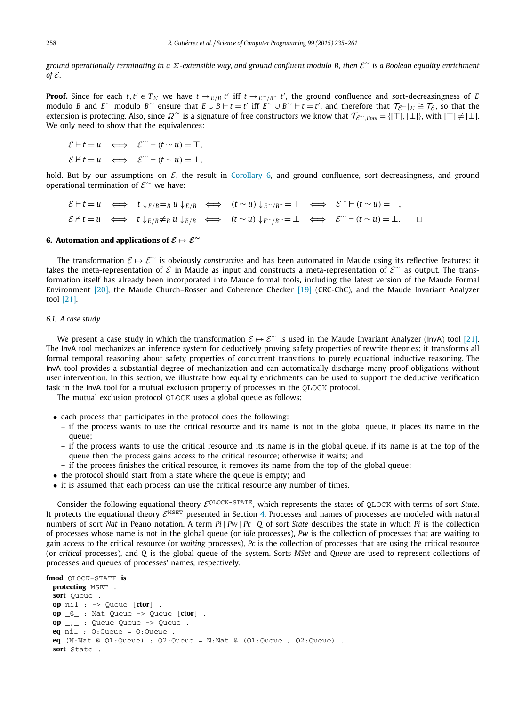<span id="page-23-0"></span>ground operationally terminating in a  $\Sigma$ -extensible way, and ground confluent modulo B, then  ${\mathcal{E}}^{\sim}$  is a Boolean equality enrichment *of*  $\mathcal{E}$ *.* 

**Proof.** Since for each  $t,t' \in T_{\Sigma}$  we have  $t \to_{E/B} t'$  iff  $t \to_{E^{\sim}/B^{\sim}} t'$ , the ground confluence and sort-decreasingness of E modulo *B* and  $E^{\sim}$  modulo  $B^{\sim}$  ensure that  $E \cup B \vdash t = t'$  iff  $E^{\sim} \cup B^{\sim} \vdash t = t'$ , and therefore that  $\mathcal{T}_{\mathcal{E}^{\sim}} | \Sigma \cong \mathcal{T}_{\mathcal{E}}$ , so that the extension is protecting. Also, since  $Ω∼$  is a signature of free constructors we know that  $\mathcal{T}_{\mathcal{E}∼, B00}$  = {[⊤], [⊥]}, with [⊤]  $\neq$  [⊥]. We only need to show that the equivalences:

 $\mathcal{E} \vdash t = u \iff \mathcal{E}^{\sim} \vdash (t \sim u) = \top$ .  $\mathcal{E} \not\models t = u \iff \mathcal{E}^{\sim} \vdash (t \sim u) = \bot$ 

hold. But by our assumptions on  $\mathcal{E}$ , the result in [Corollary 6,](#page-22-0) and ground confluence, sort-decreasingness, and ground operational termination of  $\mathcal{E}^{\sim}$  we have:

$$
\mathcal{E} \vdash t = u \iff t \downarrow_{E/B} = B \ u \downarrow_{E/B} \iff (t \sim u) \downarrow_{E \sim /B} = T \iff \mathcal{E} \sim \vdash (t \sim u) = T,
$$
  

$$
\mathcal{E} \nvdash t = u \iff t \downarrow_{E/B} \neq_B u \downarrow_{E/B} \iff (t \sim u) \downarrow_{E \sim /B} = \bot \iff \mathcal{E} \sim \vdash (t \sim u) = \bot.
$$

# **6.** Automation and applications of  $\mathcal{E} \mapsto \mathcal{E}^{\sim}$

The transformation <sup>E</sup> → <sup>E</sup><sup>∼</sup> is obviously *constructive* and has been automated in Maude using its reflective features: it takes the meta-representation of E in Maude as input and constructs a meta-representation of  $\mathcal{E}^{\sim}$  as output. The transformation itself has already been incorporated into Maude formal tools, including the latest version of the Maude Formal Environment [\[20\],](#page-26-0) the Maude Church–Rosser and Coherence Checker [\[19\]](#page-26-0) (CRC-ChC), and the Maude Invariant Analyzer tool [\[21\].](#page-26-0)

# *6.1. A case study*

We present a case study in which the transformation  $\mathcal{E} \mapsto \mathcal{E}^{\sim}$  is used in the Maude Invariant Analyzer (InvA) tool [\[21\].](#page-26-0) The InvA tool mechanizes an inference system for deductively proving safety properties of rewrite theories: it transforms all formal temporal reasoning about safety properties of concurrent transitions to purely equational inductive reasoning. The InvA tool provides a substantial degree of mechanization and can automatically discharge many proof obligations without user intervention. In this section, we illustrate how equality enrichments can be used to support the deductive verification task in the InvA tool for a mutual exclusion property of processes in the QLOCK protocol.

The mutual exclusion protocol QLOCK uses a global queue as follows:

- each process that participates in the protocol does the following:
	- if the process wants to use the critical resource and its name is not in the global queue, it places its name in the queue;
	- if the process wants to use the critical resource and its name is in the global queue, if its name is at the top of the queue then the process gains access to the critical resource; otherwise it waits; and
	- if the process finishes the critical resource, it removes its name from the top of the global queue;
- the protocol should start from a state where the queue is empty; and
- it is assumed that each process can use the critical resource any number of times.

Consider the following equational theory  $\mathcal{E}^{\text{QLOCK-STATE}}$ , which represents the states of  $\text{QLOCK}$  with terms of sort *State*. It protects the equational theory  $\mathcal{E}^{\text{MSET}}$  presented in Section [4.](#page-6-0) Processes and names of processes are modeled with natural numbers of sort *Nat* in Peano notation. A term *Pi* | *Pw* | *Pc* | *Q* of sort *State* describes the state in which *Pi* is the collection of processes whose name is not in the global queue (or *idle* processes), *Pw* is the collection of processes that are waiting to gain access to the critical resource (or *waiting* processes), *Pc* is the collection of processes that are using the critical resource (or *critical* processes), and *Q* is the global queue of the system. Sorts *MSet* and *Queue* are used to represent collections of processes and queues of processes' names, respectively.

```
fmod QLOCK-STATE is
 protecting MSET .
 sort Queue .
 op nil : -> Queue [ctor] .
 op _@_ : Nat Queue -> Queue [ctor] .
 op _;_ : Queue Queue -> Queue .
 eq nil ; Q:Queue = Q:Queue .
 eq (N:Nat \& Q1:Queue) ; Q2:Queue = N:Nat \& (Q1:Queue ; Q2:Queue) .
 sort State .
```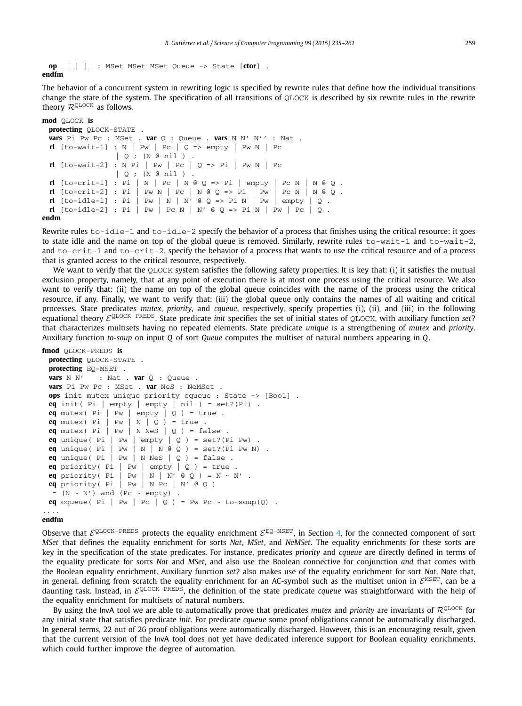```
op _|_|_|_ : MSet MSet MSet Queue -> State [ctor] .
endfm
```
The behavior of a concurrent system in rewriting logic is specified by rewrite rules that define how the individual transitions change the state of the system. The specification of all transitions of QLOCK is described by six rewrite rules in the rewrite theory  $\mathcal{R}^{\text{QLOCK}}$  as follows.

# **mod** QLOCK **is**

```
protecting QLOCK-STATE .
 vars Pi Pw Pc : MSet . var Q : Queue . vars N N' N'' : Nat .
 r1 [to-wait-1] : N | Pw | Pc | Q => empty | Pw N | Pc
                 | Q ; (N @ nil ) .
 rl [to-wait-2] : N Pi | Pw | Pc | Q => Pi | Pw N | Pc
                 | Q ; (N @ nil ) .
 rl [to-crit-1] : Pi | N | Pc | N @ Q => Pi | empty | Pc N | N @ Q .
 rl [to-crit-2] : Pi | Pw N | Pc | N @ Q => Pi | Pw | Pc N | N @ Q .
 rl [to-idle-1] : Pi \mid Pw \mid N \mid N' \in O \Rightarrow Pi N \mid Pw \mid empty \mid O.
 rl [to-idle-2] : Pi | Pw | Pc N | N' @ Q => Pi N | Pw | Pc | Q .
endm
```
Rewrite rules to-idle-1 and to-idle-2 specify the behavior of a process that finishes using the critical resource: it goes to state idle and the name on top of the global queue is removed. Similarly, rewrite rules to-wait-1 and to-wait-2, and to-crit-1 and to-crit-2, specify the behavior of a process that wants to use the critical resource and of a process that is granted access to the critical resource, respectively.

We want to verify that the OLOCK system satisfies the following safety properties. It is key that: (i) it satisfies the mutual exclusion property, namely, that at any point of execution there is at most one process using the critical resource. We also want to verify that: (ii) the name on top of the global queue coincides with the name of the process using the critical resource, if any. Finally, we want to verify that: (iii) the global queue only contains the names of all waiting and critical processes. State predicates *mutex*, *priority*, and *cqueue*, respectively, specify properties (i), (ii), and (iii) in the following equational theory <sup>E</sup>QLOCK-PREDS. State predicate *init* specifies the set of initial states of QLOCK, with auxiliary function *set*? that characterizes multisets having no repeated elements. State predicate *unique* is a strengthening of *mutex* and *priority*. Auxiliary function *to-soup* on input *Q* of sort *Queue* computes the multiset of natural numbers appearing in *Q*.

#### **fmod** QLOCK-PREDS **is**

```
protecting QLOCK-STATE .
 protecting EQ-MSET .
 vars N N' : Nat . var Q : Queue .
 vars Pi Pw Pc : MSet . var NeS : NeMSet .
 ops init mutex unique priority cqueue : State -> [Bool] .
 eq init( Pi | empty | empty | nil ) = set?(Pi) .
 eq mutex( Pi | Pw | empty | Q ) = true .
 eq mutex(Pi \mid PW \mid N \mid Q) = true.
 eq mutex(Pi \mid PW \mid N \text{ N eS} \mid Q) = false.
 eq unique( Pi | Pw | empty \vert Q \rangle = set?(Pi Pw) .
 eq unique( Pi | Pw | N | N @ Q ) = set?(Pi Pw N) .
 eq unique( Pi | Pw | N NeS | Q ) = false.
 eq priority( Pi | Pw | empty | Q ) = true .
 eq priority( Pi | Pw | N | N' @ Q ) = N \sim N'eq priority( Pi | Pw | N Pc | N' @ Q )
  = (N \sim N') and (PC \sim empty).
 eq cqueue( Pi | Pw | Pc | Q ) = Pw Pc \sim to-soup(Q) .
....
```
#### **endfm**

Observe that  $\mathcal{E}^{\text{QLOCK-PREDS}}$  protects the equality enrichment  $\mathcal{E}^{\text{EQ-MSET}}$ , in Section [4,](#page-6-0) for the connected component of sort *MSet* that defines the equality enrichment for sorts *Nat*, *MSet*, and *NeMSet*. The equality enrichments for these sorts are key in the specification of the state predicates. For instance, predicates *priority* and *cqueue* are directly defined in terms of the equality predicate for sorts *Nat* and *MSet*, and also use the Boolean connective for conjunction *and* that comes with the Boolean equality enrichment. Auxiliary function *set*? also makes use of the equality enrichment for sort *Nat*. Note that, in general, defining from scratch the equality enrichment for an AC-symbol such as the multiset union in  $\mathcal{E}^{\text{MSET}}$ , can be a daunting task. Instead, in  $\mathcal{E}^{\text{QLOCK-PREDS}}$ , the definition of the state predicate *cqueue* was straightforward with the help of the equality enrichment for multisets of natural numbers.

By using the InvA tool we are able to automatically prove that predicates *mutex* and *priority* are invariants of  $\mathcal{R}^{\text{QLOCK}}$  for any initial state that satisfies predicate *init*. For predicate *cqueue* some proof obligations cannot be automatically discharged. In general terms, 22 out of 26 proof obligations were automatically discharged. However, this is an encouraging result, given that the current version of the InvA tool does not yet have dedicated inference support for Boolean equality enrichments, which could further improve the degree of automation.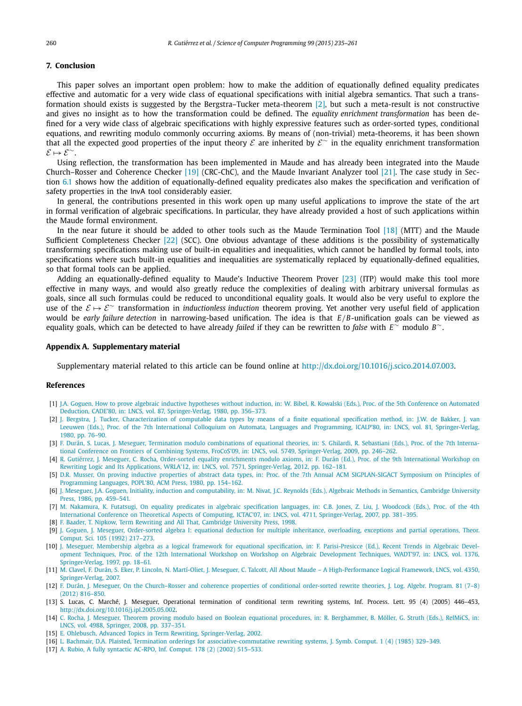# <span id="page-25-0"></span>**7. Conclusion**

This paper solves an important open problem: how to make the addition of equationally defined equality predicates effective and automatic for a very wide class of equational specifications with initial algebra semantics. That such a transformation should exists is suggested by the Bergstra–Tucker meta-theorem [2], but such a meta-result is not constructive and gives no insight as to how the transformation could be defined. The *equality enrichment transformation* has been defined for a very wide class of algebraic specifications with highly expressive features such as order-sorted types, conditional equations, and rewriting modulo commonly occurring axioms. By means of (non-trivial) meta-theorems, it has been shown that all the expected good properties of the input theory  $\mathcal E$  are inherited by  $\mathcal E^{\sim}$  in the equality enrichment transformation  $\mathcal{E} \mapsto \mathcal{E}^{\sim}$ .

Using reflection, the transformation has been implemented in Maude and has already been integrated into the Maude Church–Rosser and Coherence Checker [\[19\]](#page-26-0) (CRC-ChC), and the Maude Invariant Analyzer tool [\[21\].](#page-26-0) The case study in Section [6.1](#page-23-0) shows how the addition of equationally-defined equality predicates also makes the specification and verification of safety properties in the InvA tool considerably easier.

In general, the contributions presented in this work open up many useful applications to improve the state of the art in formal verification of algebraic specifications. In particular, they have already provided a host of such applications within the Maude formal environment.

In the near future it should be added to other tools such as the Maude Termination Tool [\[18\]](#page-26-0) (MTT) and the Maude Sufficient Completeness Checker [\[22\]](#page-26-0) (SCC). One obvious advantage of these additions is the possibility of systematically transforming specifications making use of built-in equalities and inequalities, which cannot be handled by formal tools, into specifications where such built-in equalities and inequalities are systematically replaced by equationally-defined equalities, so that formal tools can be applied.

Adding an equationally-defined equality to Maude's Inductive Theorem Prover [\[23\]](#page-26-0) (ITP) would make this tool more effective in many ways, and would also greatly reduce the complexities of dealing with arbitrary universal formulas as goals, since all such formulas could be reduced to unconditional equality goals. It would also be very useful to explore the use of the <sup>E</sup> → <sup>E</sup><sup>∼</sup> transformation in *inductionless induction* theorem proving. Yet another very useful field of application would be *early failure detection* in narrowing-based unification. The idea is that *E/B*-unification goals can be viewed as equality goals, which can be detected to have already *failed* if they can be rewritten to *false* with *E*<sup>∼</sup> modulo *B*∼.

# **Appendix A. Supplementary material**

Supplementary material related to this article can be found online at <http://dx.doi.org/10.1016/j.scico.2014.07.003>.

# **References**

- [1] J.A. Goguen, How to prove algebraic inductive [hypotheses](http://refhub.elsevier.com/S0167-6423(14)00299-8/bib476F6775656E5F486F77546F50726F7665416C67496E64487970576974686F7574496E645F434144453830s1) without induction, in: W. Bibel, R. Kowalski (Eds.), Proc. of the 5th Conference on Automated Deduction, CADE'80, in: LNCS, vol. 87, [Springer-Verlag,](http://refhub.elsevier.com/S0167-6423(14)00299-8/bib476F6775656E5F486F77546F50726F7665416C67496E64487970576974686F7574496E645F434144453830s1) 1980, pp. 356–373.
- [2] J. Bergstra, J. Tucker, [Characterization](http://refhub.elsevier.com/S0167-6423(14)00299-8/bib4265725475635F436861724F66436F6D7044617461547970657342794D65616E734F664146696E6974654571537065634D6574686F645F4943414C503830s1) of computable data types by means of a finite equational specification method, in: J.W. de Bakker, J. van Leeuwen (Eds.), Proc. of the 7th International Colloquium on Automata, Languages and Programming, ICALP'80, in: LNCS, vol. 81, [Springer-Verlag,](http://refhub.elsevier.com/S0167-6423(14)00299-8/bib4265725475635F436861724F66436F6D7044617461547970657342794D65616E734F664146696E6974654571537065634D6574686F645F4943414C503830s1) 1980, [pp. 76–90.](http://refhub.elsevier.com/S0167-6423(14)00299-8/bib4265725475635F436861724F66436F6D7044617461547970657342794D65616E734F664146696E6974654571537065634D6574686F645F4943414C503830s1)
- [3] F. Durán, S. Lucas, J. Meseguer, Termination modulo [combinations](http://refhub.elsevier.com/S0167-6423(14)00299-8/bib4475724C75634D65735F5465726D4D6F64436F6D62457154685F46524F434F533039s1) of equational theories, in: S. Ghilardi, R. Sebastiani (Eds.), Proc. of the 7th International Conference on Frontiers of Combining Systems, FroCoS'09, in: LNCS, vol. 5749, [Springer-Verlag,](http://refhub.elsevier.com/S0167-6423(14)00299-8/bib4475724C75634D65735F5465726D4D6F64436F6D62457154685F46524F434F533039s1) 2009, pp. 246–262.
- [4] R. Gutiérrez, J. Meseguer, C. Rocha, Order-sorted equality enrichments modulo axioms, in: F. Durán (Ed.), Proc. of the 9th [International](http://refhub.elsevier.com/S0167-6423(14)00299-8/bib4775744D6573526F635F4F5345456E726963684D6F6441785F57524C413132s1) Workshop on Rewriting Logic and Its Applications, WRLA'12, in: LNCS, vol. 7571, [Springer-Verlag,](http://refhub.elsevier.com/S0167-6423(14)00299-8/bib4775744D6573526F635F4F5345456E726963684D6F6441785F57524C413132s1) 2012, pp. 162–181.
- [5] D.R. Musser, On proving inductive properties of abstract data types, in: Proc. of the 7th Annual ACM [SIGPLAN-SIGACT](http://refhub.elsevier.com/S0167-6423(14)00299-8/bib4D75737365725F4F6E50726F76696E67496E6450726F704F664144545F504F504C3830s1) Symposium on Principles of [Programming](http://refhub.elsevier.com/S0167-6423(14)00299-8/bib4D75737365725F4F6E50726F76696E67496E6450726F704F664144545F504F504C3830s1) Languages, POPL'80, ACM Press, 1980, pp. 154–162.
- [6] J. Meseguer, J.A. Goguen, Initiality, induction and [computability,](http://refhub.elsevier.com/S0167-6423(14)00299-8/bib4D6573476F675F496E697469616C697479496E64756374696F6E416E64436F6D7075746162696C6974795F414D533836s1) in: M. Nivat, J.C. Reynolds (Eds.), Algebraic Methods in Semantics, Cambridge University Press, 1986, [pp. 459–541.](http://refhub.elsevier.com/S0167-6423(14)00299-8/bib4D6573476F675F496E697469616C697479496E64756374696F6E416E64436F6D7075746162696C6974795F414D533836s1)
- [7] M. Nakamura, K. Futatsugi, On equality predicates in algebraic [specification](http://refhub.elsevier.com/S0167-6423(14)00299-8/bib4E616B4675745F4F6E457175616C69747950726564496E416C67537065634C616E675F49435441433037s1) languages, in: C.B. Jones, Z. Liu, J. Woodcock (Eds.), Proc. of the 4th International Conference on Theoretical Aspects of Computing, ICTAC'07, in: LNCS, vol. 4711, [Springer-Verlag,](http://refhub.elsevier.com/S0167-6423(14)00299-8/bib4E616B4675745F4F6E457175616C69747950726564496E416C67537065634C616E675F49435441433037s1) 2007, pp. 381–395.
- [8] F. Baader, T. Nipkow, Term Rewriting and All That, [Cambridge](http://refhub.elsevier.com/S0167-6423(14)00299-8/bib4261614E69705F5465726D526577416C6C546861745F31393938s1) University Press, 1998.
- [9] J. Goguen, J. Meseguer, [Order-sorted](http://refhub.elsevier.com/S0167-6423(14)00299-8/bib476F674D65735F4F72646572536F72746564416C67495F5443533932s1) algebra I: equational deduction for multiple inheritance, overloading, exceptions and partial operations, Theor. Comput. Sci. 105 (1992) [217–273.](http://refhub.elsevier.com/S0167-6423(14)00299-8/bib476F674D65735F4F72646572536F72746564416C67495F5443533932s1)
- [10] J. Meseguer, Membership algebra as a logical framework for equational specification, in: F. [Parisi-Presicce](http://refhub.elsevier.com/S0167-6423(14)00299-8/bib4D657365677565725F4D656D62657273686970416C67656272614173414C6F676963616C4672616D65776F726B466F724571537065635F574144543937s1) (Ed.), Recent Trends in Algebraic Development Techniques, Proc. of the 12th International Workshop on Workshop on Algebraic [Development](http://refhub.elsevier.com/S0167-6423(14)00299-8/bib4D657365677565725F4D656D62657273686970416C67656272614173414C6F676963616C4672616D65776F726B466F724571537065635F574144543937s1) Techniques, WADT'97, in: LNCS, vol. 1376, [Springer-Verlag,](http://refhub.elsevier.com/S0167-6423(14)00299-8/bib4D657365677565725F4D656D62657273686970416C67656272614173414C6F676963616C4672616D65776F726B466F724571537065635F574144543937s1) 1997, pp. 18–61.
- [11] M. Clavel, F. Durán, S. Eker, P. Lincoln, N. Martí-Oliet, J. Meseguer, C. Talcott, All About Maude A [High-Performance](http://refhub.elsevier.com/S0167-6423(14)00299-8/bib436C6176656C4574416C5F4D61756465426F6F6B5F32303037s1) Logical Framework, LNCS, vol. 4350, [Springer-Verlag,](http://refhub.elsevier.com/S0167-6423(14)00299-8/bib436C6176656C4574416C5F4D61756465426F6F6B5F32303037s1) 2007.
- [12] F. Durán, J. Meseguer, On the [Church–Rosser](http://refhub.elsevier.com/S0167-6423(14)00299-8/bib647572616E2D6372636368723133s1) and coherence properties of conditional order-sorted rewrite theories, J. Log. Algebr. Program. 81 (7–8) (2012) [816–850.](http://refhub.elsevier.com/S0167-6423(14)00299-8/bib647572616E2D6372636368723133s1)
- [13] S. Lucas, C. Marché, J. Meseguer, Operational termination of conditional term rewriting systems, Inf. Process. Lett. 95 (4) (2005) 446-453, <http://dx.doi.org/10.1016/j.ipl.2005.05.002>.
- [14] C. Rocha, J. Meseguer, Theorem proving modulo based on Boolean equational procedures, in: R. [Berghammer,](http://refhub.elsevier.com/S0167-6423(14)00299-8/bib726F6368612D6D657365677565722D72656C6D6963733038s1) B. Möller, G. Struth (Eds.), RelMiCS, in: LNCS, vol. 4988, Springer, 2008, [pp. 337–351.](http://refhub.elsevier.com/S0167-6423(14)00299-8/bib726F6368612D6D657365677565722D72656C6D6963733038s1)
- [15] E. Ohlebusch, Advanced Topics in Term Rewriting, [Springer-Verlag,](http://refhub.elsevier.com/S0167-6423(14)00299-8/bib4F686C6562757363685F416476546F706963735465726D5265775F32303032s1) 2002.
- [16] L. Bachmair, D.A. Plaisted, Termination orderings for [associative-commutative](http://refhub.elsevier.com/S0167-6423(14)00299-8/bib426163506C615F5465726D696E6174696F6E4F72646572696E6773466F724143526577726974696E6753797374656D735F4A53433835s1) rewriting systems, J. Symb. Comput. 1 (4) (1985) 329–349.
- [17] A. Rubio, A fully syntactic AC-RPO, Inf. Comput. 178 (2) (2002) [515–533.](http://refhub.elsevier.com/S0167-6423(14)00299-8/bib527562696F5F414352504F5F49433032s1)